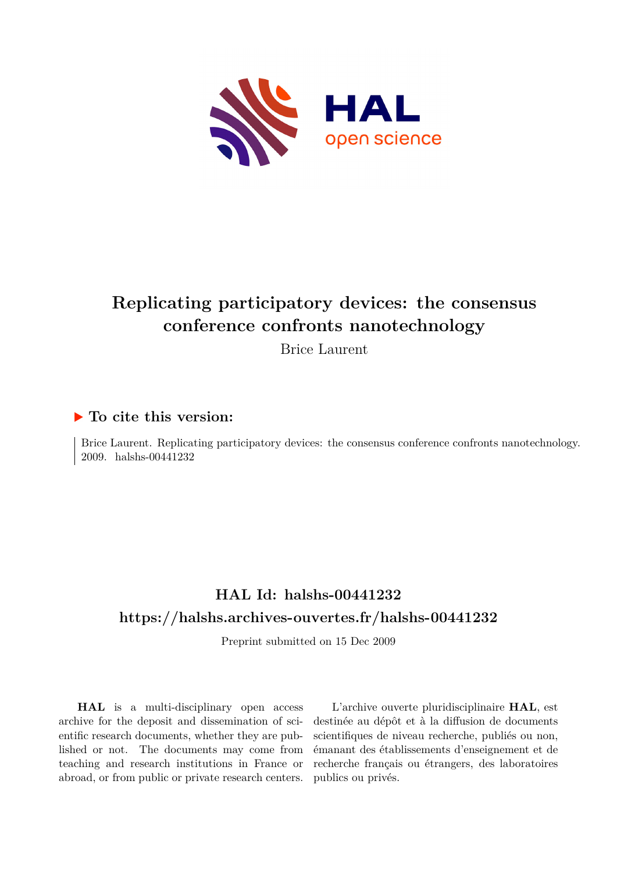

# **Replicating participatory devices: the consensus conference confronts nanotechnology**

Brice Laurent

# **To cite this version:**

Brice Laurent. Replicating participatory devices: the consensus conference confronts nanotechnology. 2009. halshs-00441232

# **HAL Id: halshs-00441232 <https://halshs.archives-ouvertes.fr/halshs-00441232>**

Preprint submitted on 15 Dec 2009

**HAL** is a multi-disciplinary open access archive for the deposit and dissemination of scientific research documents, whether they are published or not. The documents may come from teaching and research institutions in France or abroad, or from public or private research centers.

L'archive ouverte pluridisciplinaire **HAL**, est destinée au dépôt et à la diffusion de documents scientifiques de niveau recherche, publiés ou non, émanant des établissements d'enseignement et de recherche français ou étrangers, des laboratoires publics ou privés.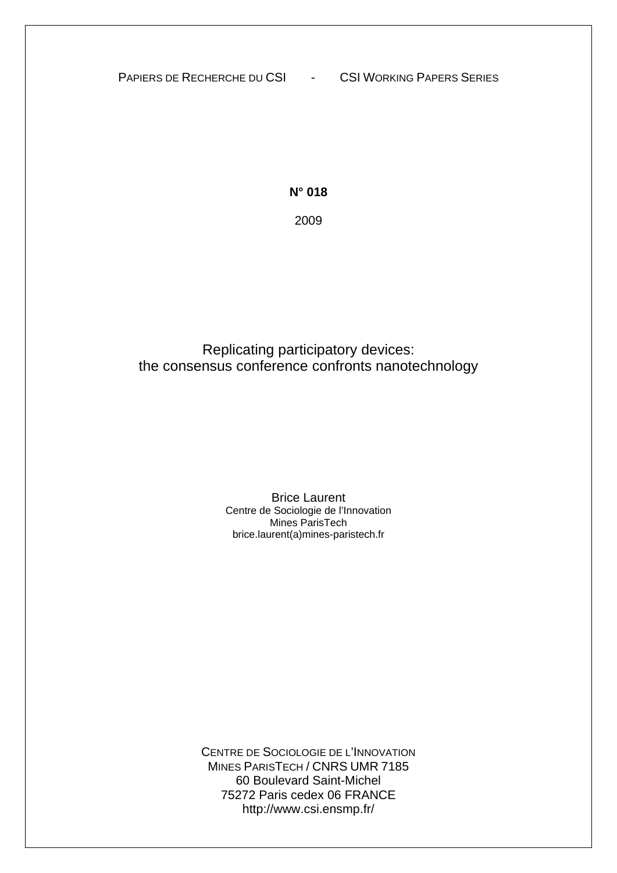PAPIERS DE RECHERCHE DU CSI - CSI WORKING PAPERS SERIES

**N° 018**  2009

Replicating participatory devices: the consensus conference confronts nanotechnology

> Brice Laurent Centre de Sociologie de l'Innovation Mines ParisTech brice.laurent(a)mines-paristech.fr

CENTRE DE SOCIOLOGIE DE L'INNOVATION MINES PARISTECH / CNRS UMR 7185 60 Boulevard Saint-Michel 75272 Paris cedex 06 FRANCE http://www.csi.ensmp.fr/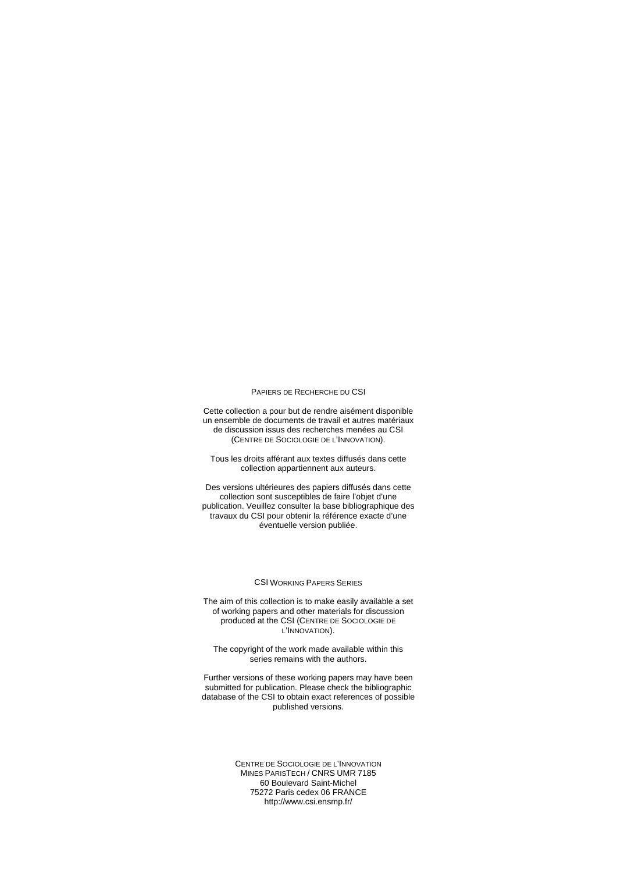#### PAPIERS DE RECHERCHE DU CSI

Cette collection a pour but de rendre aisément disponible un ensemble de documents de travail et autres matériaux de discussion issus des recherches menées au CSI (CENTRE DE SOCIOLOGIE DE L'INNOVATION).

Tous les droits afférant aux textes diffusés dans cette collection appartiennent aux auteurs.

Des versions ultérieures des papiers diffusés dans cette collection sont susceptibles de faire l'objet d'une publication. Veuillez consulter la base bibliographique des travaux du CSI pour obtenir la référence exacte d'une éventuelle version publiée.

#### CSI WORKING PAPERS SERIES

The aim of this collection is to make easily available a set of working papers and other materials for discussion produced at the CSI (CENTRE DE SOCIOLOGIE DE L'INNOVATION).

The copyright of the work made available within this series remains with the authors.

Further versions of these working papers may have been submitted for publication. Please check the bibliographic database of the CSI to obtain exact references of possible published versions.

> CENTRE DE SOCIOLOGIE DE L'INNOVATION MINES PARISTECH / CNRS UMR 7185 60 Boulevard Saint-Michel 75272 Paris cedex 06 FRANCE http://www.csi.ensmp.fr/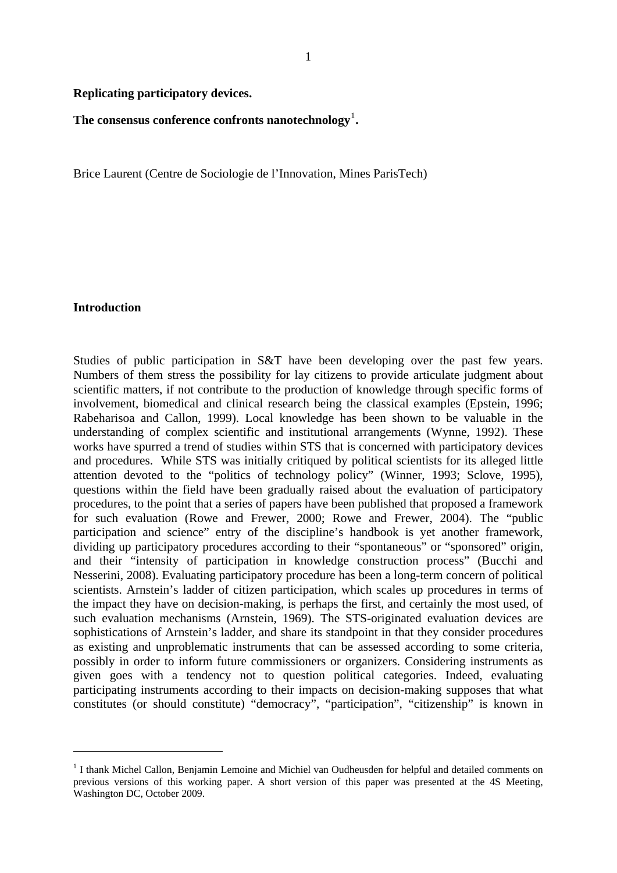#### **Replicating participatory devices.**

The consensus conference confronts nanotechnology<sup>[1](#page-3-0)</sup>.

Brice Laurent (Centre de Sociologie de l'Innovation, Mines ParisTech)

#### **Introduction**

1

Studies of public participation in S&T have been developing over the past few years. Numbers of them stress the possibility for lay citizens to provide articulate judgment about scientific matters, if not contribute to the production of knowledge through specific forms of involvement, biomedical and clinical research being the classical examples (Epstein, 1996; Rabeharisoa and Callon, 1999). Local knowledge has been shown to be valuable in the understanding of complex scientific and institutional arrangements (Wynne, 1992). These works have spurred a trend of studies within STS that is concerned with participatory devices and procedures. While STS was initially critiqued by political scientists for its alleged little attention devoted to the "politics of technology policy" (Winner, 1993; Sclove, 1995), questions within the field have been gradually raised about the evaluation of participatory procedures, to the point that a series of papers have been published that proposed a framework for such evaluation (Rowe and Frewer, 2000; Rowe and Frewer, 2004). The "public participation and science" entry of the discipline's handbook is yet another framework, dividing up participatory procedures according to their "spontaneous" or "sponsored" origin, and their "intensity of participation in knowledge construction process" (Bucchi and Nesserini, 2008). Evaluating participatory procedure has been a long-term concern of political scientists. Arnstein's ladder of citizen participation, which scales up procedures in terms of the impact they have on decision-making, is perhaps the first, and certainly the most used, of such evaluation mechanisms (Arnstein, 1969). The STS-originated evaluation devices are sophistications of Arnstein's ladder, and share its standpoint in that they consider procedures as existing and unproblematic instruments that can be assessed according to some criteria, possibly in order to inform future commissioners or organizers. Considering instruments as given goes with a tendency not to question political categories. Indeed, evaluating participating instruments according to their impacts on decision-making supposes that what constitutes (or should constitute) "democracy", "participation", "citizenship" is known in

<span id="page-3-0"></span><sup>&</sup>lt;sup>1</sup> I thank Michel Callon, Benjamin Lemoine and Michiel van Oudheusden for helpful and detailed comments on previous versions of this working paper. A short version of this paper was presented at the 4S Meeting, Washington DC, October 2009.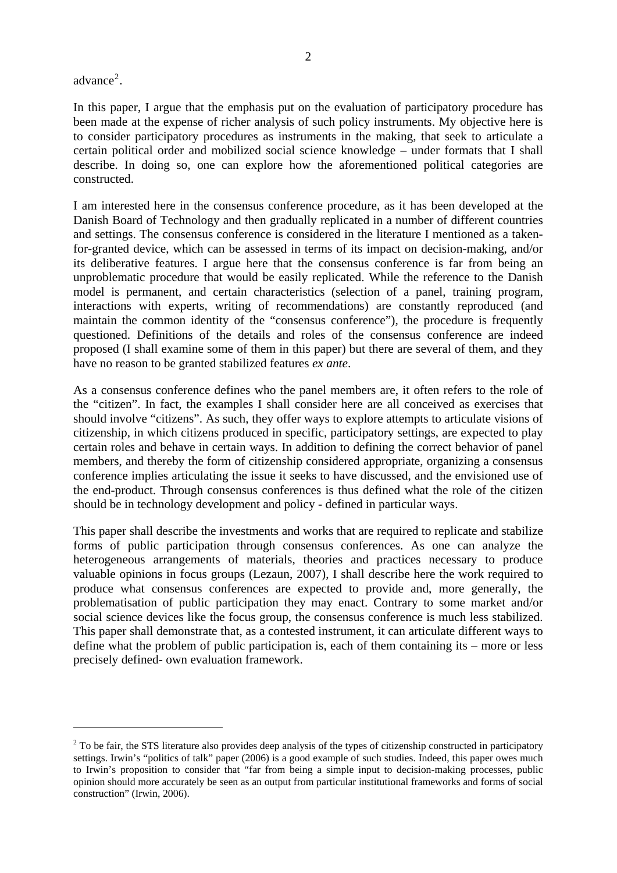$advance<sup>2</sup>$  $advance<sup>2</sup>$  $advance<sup>2</sup>$ .

1

In this paper, I argue that the emphasis put on the evaluation of participatory procedure has been made at the expense of richer analysis of such policy instruments. My objective here is to consider participatory procedures as instruments in the making, that seek to articulate a certain political order and mobilized social science knowledge – under formats that I shall describe. In doing so, one can explore how the aforementioned political categories are constructed.

I am interested here in the consensus conference procedure, as it has been developed at the Danish Board of Technology and then gradually replicated in a number of different countries and settings. The consensus conference is considered in the literature I mentioned as a takenfor-granted device, which can be assessed in terms of its impact on decision-making, and/or its deliberative features. I argue here that the consensus conference is far from being an unproblematic procedure that would be easily replicated. While the reference to the Danish model is permanent, and certain characteristics (selection of a panel, training program, interactions with experts, writing of recommendations) are constantly reproduced (and maintain the common identity of the "consensus conference"), the procedure is frequently questioned. Definitions of the details and roles of the consensus conference are indeed proposed (I shall examine some of them in this paper) but there are several of them, and they have no reason to be granted stabilized features *ex ante*.

As a consensus conference defines who the panel members are, it often refers to the role of the "citizen". In fact, the examples I shall consider here are all conceived as exercises that should involve "citizens". As such, they offer ways to explore attempts to articulate visions of citizenship, in which citizens produced in specific, participatory settings, are expected to play certain roles and behave in certain ways. In addition to defining the correct behavior of panel members, and thereby the form of citizenship considered appropriate, organizing a consensus conference implies articulating the issue it seeks to have discussed, and the envisioned use of the end-product. Through consensus conferences is thus defined what the role of the citizen should be in technology development and policy - defined in particular ways.

This paper shall describe the investments and works that are required to replicate and stabilize forms of public participation through consensus conferences. As one can analyze the heterogeneous arrangements of materials, theories and practices necessary to produce valuable opinions in focus groups (Lezaun, 2007), I shall describe here the work required to produce what consensus conferences are expected to provide and, more generally, the problematisation of public participation they may enact. Contrary to some market and/or social science devices like the focus group, the consensus conference is much less stabilized. This paper shall demonstrate that, as a contested instrument, it can articulate different ways to define what the problem of public participation is, each of them containing its – more or less precisely defined- own evaluation framework.

<span id="page-4-0"></span> $2$  To be fair, the STS literature also provides deep analysis of the types of citizenship constructed in participatory settings. Irwin's "politics of talk" paper (2006) is a good example of such studies. Indeed, this paper owes much to Irwin's proposition to consider that "far from being a simple input to decision-making processes, public opinion should more accurately be seen as an output from particular institutional frameworks and forms of social construction" (Irwin, 2006).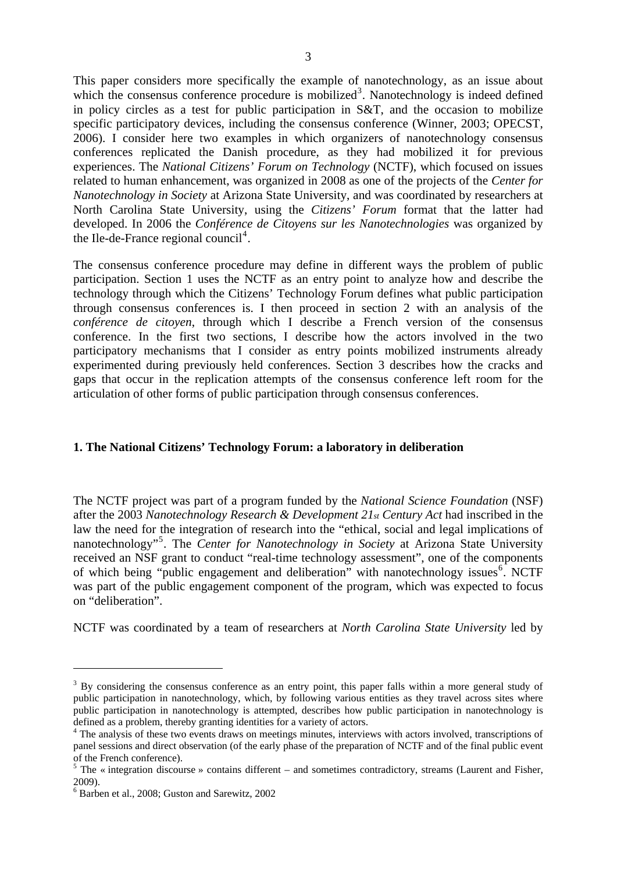This paper considers more specifically the example of nanotechnology, as an issue about which the consensus conference procedure is mobilized<sup>[3](#page-5-0)</sup>. Nanotechnology is indeed defined in policy circles as a test for public participation in S&T, and the occasion to mobilize specific participatory devices, including the consensus conference (Winner, 2003; OPECST, 2006). I consider here two examples in which organizers of nanotechnology consensus conferences replicated the Danish procedure, as they had mobilized it for previous experiences. The *National Citizens' Forum on Technology* (NCTF), which focused on issues related to human enhancement, was organized in 2008 as one of the projects of the *Center for Nanotechnology in Society* at Arizona State University, and was coordinated by researchers at North Carolina State University, using the *Citizens' Forum* format that the latter had developed. In 2006 the *Conférence de Citoyens sur les Nanotechnologies* was organized by the Ile-de-France regional council<sup>[4](#page-5-1)</sup>.

The consensus conference procedure may define in different ways the problem of public participation. Section 1 uses the NCTF as an entry point to analyze how and describe the technology through which the Citizens' Technology Forum defines what public participation through consensus conferences is. I then proceed in section 2 with an analysis of the *conférence de citoyen*, through which I describe a French version of the consensus conference. In the first two sections, I describe how the actors involved in the two participatory mechanisms that I consider as entry points mobilized instruments already experimented during previously held conferences. Section 3 describes how the cracks and gaps that occur in the replication attempts of the consensus conference left room for the articulation of other forms of public participation through consensus conferences.

### **1. The National Citizens' Technology Forum: a laboratory in deliberation**

The NCTF project was part of a program funded by the *National Science Foundation* (NSF) after the 2003 *Nanotechnology Research & Development 21st Century Act* had inscribed in the law the need for the integration of research into the "ethical, social and legal implications of nanotechnology"[5](#page-5-2) . The *Center for Nanotechnology in Society* at Arizona State University received an NSF grant to conduct "real-time technology assessment", one of the components of which being "public engagement and deliberation" with nanotechnology issues<sup>[6](#page-5-3)</sup>. NCTF was part of the public engagement component of the program, which was expected to focus on "deliberation".

NCTF was coordinated by a team of researchers at *North Carolina State University* led by

<span id="page-5-0"></span> $3$  By considering the consensus conference as an entry point, this paper falls within a more general study of public participation in nanotechnology, which, by following various entities as they travel across sites where public participation in nanotechnology is attempted, describes how public participation in nanotechnology is defined as a problem, thereby granting identities for a variety of actors.

<span id="page-5-1"></span><sup>&</sup>lt;sup>4</sup> The analysis of these two events draws on meetings minutes, interviews with actors involved, transcriptions of panel sessions and direct observation (of the early phase of the preparation of NCTF and of the final public event of the French conference).

<span id="page-5-2"></span> $5$  The « integration discourse » contains different – and sometimes contradictory, streams (Laurent and Fisher, 2009).

<span id="page-5-3"></span><sup>6</sup> Barben et al., 2008; Guston and Sarewitz, 2002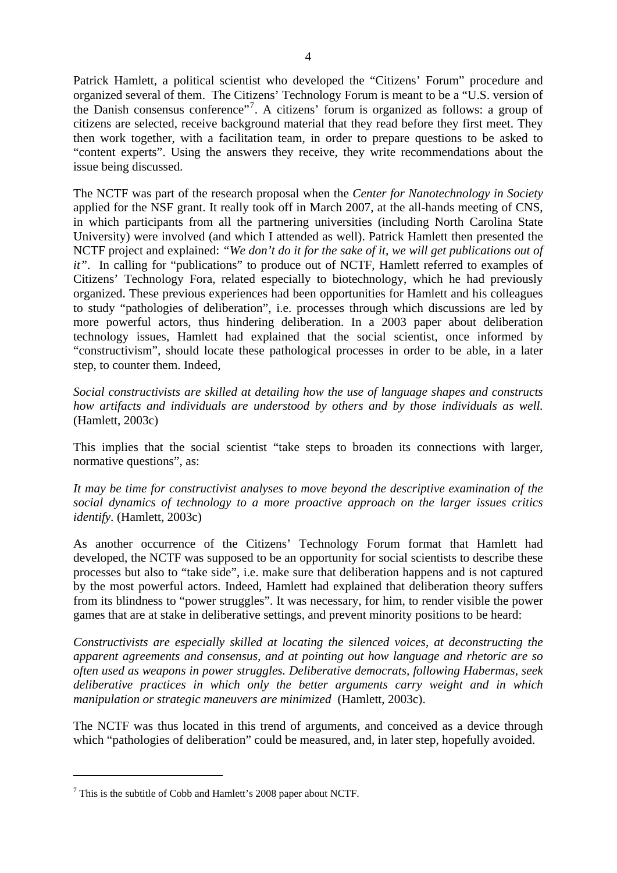Patrick Hamlett, a political scientist who developed the "Citizens' Forum" procedure and organized several of them. The Citizens' Technology Forum is meant to be a "U.S. version of the Danish consensus conference"[7](#page-6-0) . A citizens' forum is organized as follows: a group of citizens are selected, receive background material that they read before they first meet. They then work together, with a facilitation team, in order to prepare questions to be asked to "content experts". Using the answers they receive, they write recommendations about the issue being discussed.

The NCTF was part of the research proposal when the *Center for Nanotechnology in Society*  applied for the NSF grant. It really took off in March 2007, at the all-hands meeting of CNS, in which participants from all the partnering universities (including North Carolina State University) were involved (and which I attended as well). Patrick Hamlett then presented the NCTF project and explained: *"We don't do it for the sake of it, we will get publications out of it"*. In calling for "publications" to produce out of NCTF, Hamlett referred to examples of Citizens' Technology Fora, related especially to biotechnology, which he had previously organized. These previous experiences had been opportunities for Hamlett and his colleagues to study "pathologies of deliberation", i.e. processes through which discussions are led by more powerful actors, thus hindering deliberation. In a 2003 paper about deliberation technology issues, Hamlett had explained that the social scientist, once informed by "constructivism", should locate these pathological processes in order to be able, in a later step, to counter them. Indeed,

*Social constructivists are skilled at detailing how the use of language shapes and constructs how artifacts and individuals are understood by others and by those individuals as well.* (Hamlett, 2003c)

This implies that the social scientist "take steps to broaden its connections with larger, normative questions", as:

*It may be time for constructivist analyses to move beyond the descriptive examination of the social dynamics of technology to a more proactive approach on the larger issues critics identify.* (Hamlett, 2003c)

As another occurrence of the Citizens' Technology Forum format that Hamlett had developed, the NCTF was supposed to be an opportunity for social scientists to describe these processes but also to "take side", i.e. make sure that deliberation happens and is not captured by the most powerful actors. Indeed, Hamlett had explained that deliberation theory suffers from its blindness to "power struggles". It was necessary, for him, to render visible the power games that are at stake in deliberative settings, and prevent minority positions to be heard:

*Constructivists are especially skilled at locating the silenced voices, at deconstructing the apparent agreements and consensus, and at pointing out how language and rhetoric are so often used as weapons in power struggles. Deliberative democrats, following Habermas, seek deliberative practices in which only the better arguments carry weight and in which manipulation or strategic maneuvers are minimized* (Hamlett, 2003c).

The NCTF was thus located in this trend of arguments, and conceived as a device through which "pathologies of deliberation" could be measured, and, in later step, hopefully avoided.

<span id="page-6-0"></span> $7$  This is the subtitle of Cobb and Hamlett's 2008 paper about NCTF.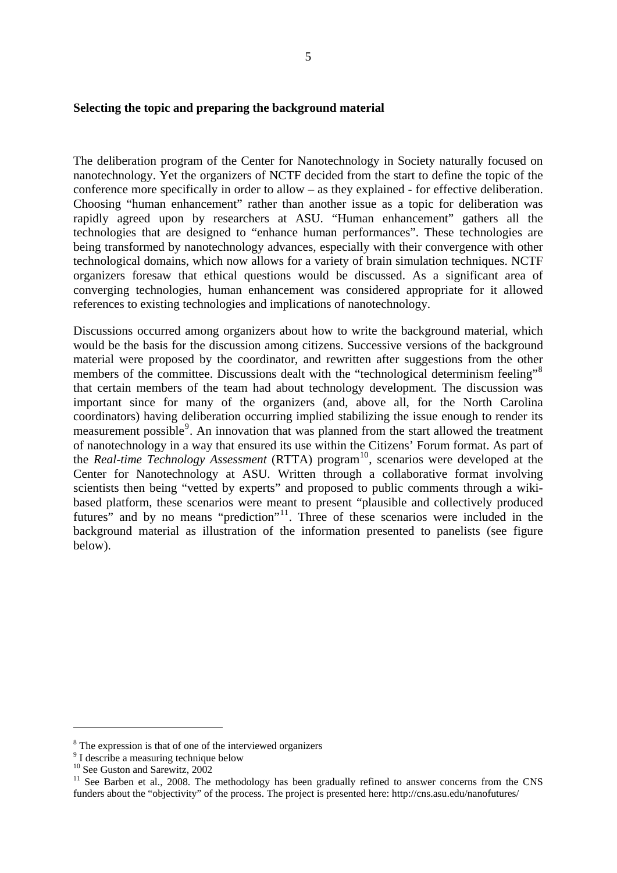### **Selecting the topic and preparing the background material**

The deliberation program of the Center for Nanotechnology in Society naturally focused on nanotechnology. Yet the organizers of NCTF decided from the start to define the topic of the conference more specifically in order to allow – as they explained - for effective deliberation. Choosing "human enhancement" rather than another issue as a topic for deliberation was rapidly agreed upon by researchers at ASU. "Human enhancement" gathers all the technologies that are designed to "enhance human performances". These technologies are being transformed by nanotechnology advances, especially with their convergence with other technological domains, which now allows for a variety of brain simulation techniques. NCTF organizers foresaw that ethical questions would be discussed. As a significant area of converging technologies, human enhancement was considered appropriate for it allowed references to existing technologies and implications of nanotechnology.

Discussions occurred among organizers about how to write the background material, which would be the basis for the discussion among citizens. Successive versions of the background material were proposed by the coordinator, and rewritten after suggestions from the other members of the committee. Discussions dealt with the "technological determinism feeling"<sup>[8](#page-7-0)</sup> that certain members of the team had about technology development. The discussion was important since for many of the organizers (and, above all, for the North Carolina coordinators) having deliberation occurring implied stabilizing the issue enough to render its measurement possible<sup>[9](#page-7-1)</sup>. An innovation that was planned from the start allowed the treatment of nanotechnology in a way that ensured its use within the Citizens' Forum format. As part of the *Real-time Technology Assessment* (RTTA) program<sup>[10](#page-7-2)</sup>, scenarios were developed at the Center for Nanotechnology at ASU. Written through a collaborative format involving scientists then being "vetted by experts" and proposed to public comments through a wikibased platform, these scenarios were meant to present "plausible and collectively produced futures" and by no means "prediction"<sup>[11](#page-7-3)</sup>. Three of these scenarios were included in the background material as illustration of the information presented to panelists (see figure below).

<span id="page-7-0"></span><sup>&</sup>lt;sup>8</sup> The expression is that of one of the interviewed organizers

<span id="page-7-1"></span><sup>&</sup>lt;sup>9</sup> I describe a measuring technique below

<span id="page-7-2"></span><sup>&</sup>lt;sup>10</sup> See Guston and Sarewitz, 2002

<span id="page-7-3"></span><sup>&</sup>lt;sup>11</sup> See Barben et al., 2008. The methodology has been gradually refined to answer concerns from the CNS funders about the "objectivity" of the process. The project is presented here: http://cns.asu.edu/nanofutures/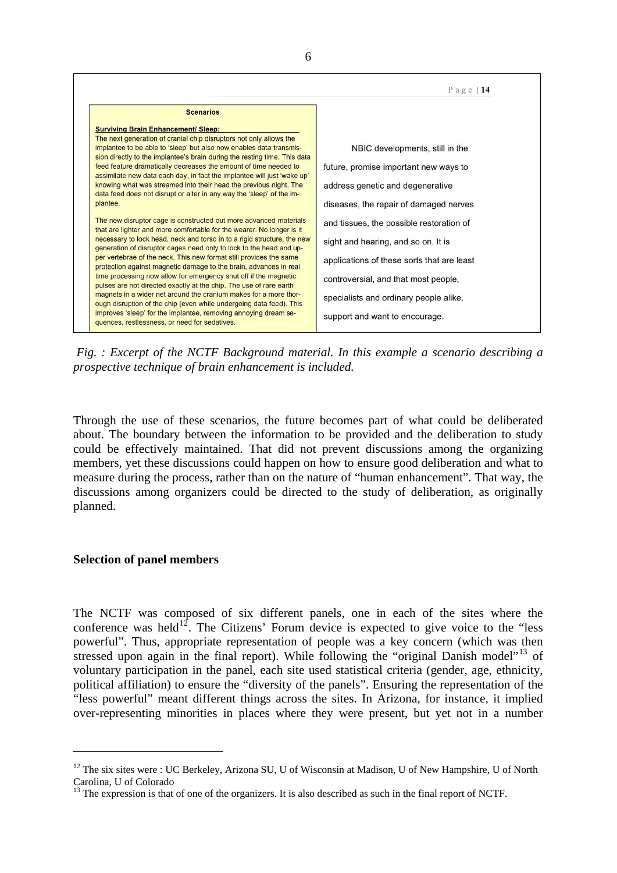

*Fig. : Excerpt of the NCTF Background material. In this example a scenario describing a prospective technique of brain enhancement is included.* 

Through the use of these scenarios, the future becomes part of what could be deliberated about. The boundary between the information to be provided and the deliberation to study could be effectively maintained. That did not prevent discussions among the organizing members, yet these discussions could happen on how to ensure good deliberation and what to measure during the process, rather than on the nature of "human enhancement". That way, the discussions among organizers could be directed to the study of deliberation, as originally planned.

#### **Selection of panel members**

1

The NCTF was composed of six different panels, one in each of the sites where the conference was held<sup>[12](#page-8-0)</sup>. The Citizens' Forum device is expected to give voice to the "less" powerful". Thus, appropriate representation of people was a key concern (which was then stressed upon again in the final report). While following the "original Danish model"<sup>[13](#page-8-1)</sup> of voluntary participation in the panel, each site used statistical criteria (gender, age, ethnicity, political affiliation) to ensure the "diversity of the panels". Ensuring the representation of the "less powerful" meant different things across the sites. In Arizona, for instance, it implied over-representing minorities in places where they were present, but yet not in a number

<span id="page-8-0"></span> $12$  The six sites were : UC Berkeley, Arizona SU, U of Wisconsin at Madison, U of New Hampshire, U of North Carolina, U of Colorado

<span id="page-8-1"></span><sup>&</sup>lt;sup>13</sup> The expression is that of one of the organizers. It is also described as such in the final report of NCTF.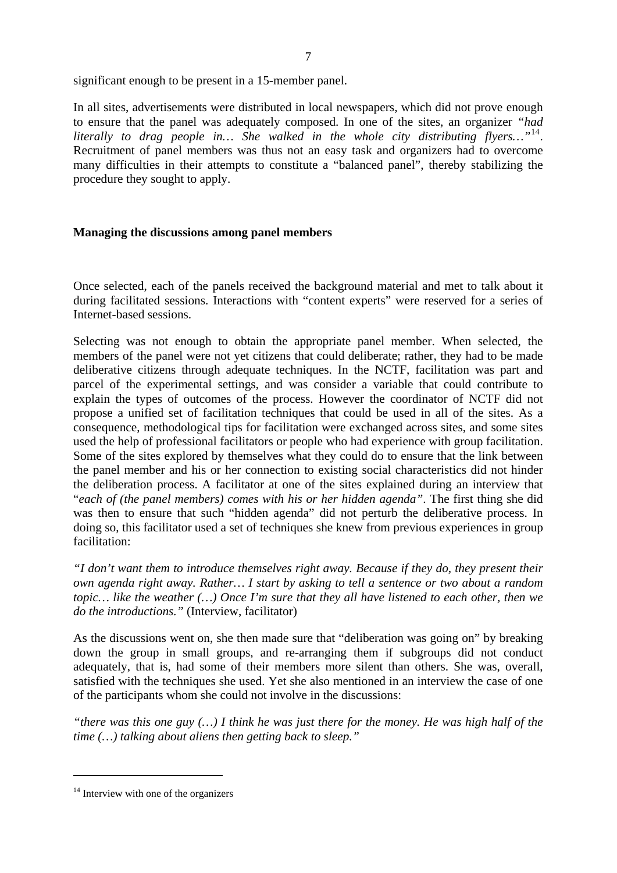significant enough to be present in a 15-member panel.

In all sites, advertisements were distributed in local newspapers, which did not prove enough to ensure that the panel was adequately composed. In one of the sites, an organizer *"had literally to drag people in… She walked in the whole city distributing flyers…"*[14](#page-9-0). Recruitment of panel members was thus not an easy task and organizers had to overcome many difficulties in their attempts to constitute a "balanced panel", thereby stabilizing the procedure they sought to apply.

### **Managing the discussions among panel members**

Once selected, each of the panels received the background material and met to talk about it during facilitated sessions. Interactions with "content experts" were reserved for a series of Internet-based sessions.

Selecting was not enough to obtain the appropriate panel member. When selected, the members of the panel were not yet citizens that could deliberate; rather, they had to be made deliberative citizens through adequate techniques. In the NCTF, facilitation was part and parcel of the experimental settings, and was consider a variable that could contribute to explain the types of outcomes of the process. However the coordinator of NCTF did not propose a unified set of facilitation techniques that could be used in all of the sites. As a consequence, methodological tips for facilitation were exchanged across sites, and some sites used the help of professional facilitators or people who had experience with group facilitation. Some of the sites explored by themselves what they could do to ensure that the link between the panel member and his or her connection to existing social characteristics did not hinder the deliberation process. A facilitator at one of the sites explained during an interview that "*each of (the panel members) comes with his or her hidden agenda"*. The first thing she did was then to ensure that such "hidden agenda" did not perturb the deliberative process. In doing so, this facilitator used a set of techniques she knew from previous experiences in group facilitation:

*"I don't want them to introduce themselves right away. Because if they do, they present their own agenda right away. Rather… I start by asking to tell a sentence or two about a random topic… like the weather (…) Once I'm sure that they all have listened to each other, then we do the introductions."* (Interview, facilitator)

As the discussions went on, she then made sure that "deliberation was going on" by breaking down the group in small groups, and re-arranging them if subgroups did not conduct adequately, that is, had some of their members more silent than others. She was, overall, satisfied with the techniques she used. Yet she also mentioned in an interview the case of one of the participants whom she could not involve in the discussions:

*"there was this one guy (…) I think he was just there for the money. He was high half of the time (…) talking about aliens then getting back to sleep."* 

<span id="page-9-0"></span> $14$  Interview with one of the organizers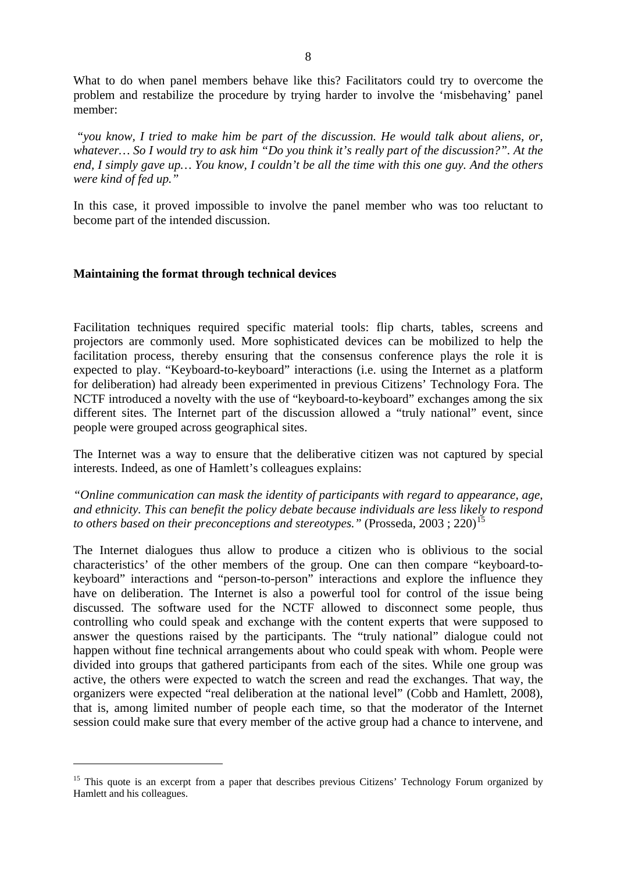What to do when panel members behave like this? Facilitators could try to overcome the problem and restabilize the procedure by trying harder to involve the 'misbehaving' panel member:

 *"you know, I tried to make him be part of the discussion. He would talk about aliens, or, whatever… So I would try to ask him "Do you think it's really part of the discussion?". At the end, I simply gave up… You know, I couldn't be all the time with this one guy. And the others were kind of fed up."* 

In this case, it proved impossible to involve the panel member who was too reluctant to become part of the intended discussion.

### **Maintaining the format through technical devices**

1

Facilitation techniques required specific material tools: flip charts, tables, screens and projectors are commonly used. More sophisticated devices can be mobilized to help the facilitation process, thereby ensuring that the consensus conference plays the role it is expected to play. "Keyboard-to-keyboard" interactions (i.e. using the Internet as a platform for deliberation) had already been experimented in previous Citizens' Technology Fora. The NCTF introduced a novelty with the use of "keyboard-to-keyboard" exchanges among the six different sites. The Internet part of the discussion allowed a "truly national" event, since people were grouped across geographical sites.

The Internet was a way to ensure that the deliberative citizen was not captured by special interests. Indeed, as one of Hamlett's colleagues explains:

*"Online communication can mask the identity of participants with regard to appearance, age, and ethnicity. This can benefit the policy debate because individuals are less likely to respond to others based on their preconceptions and stereotypes.*" (Prosseda, 2003; 220)<sup>[15](#page-10-0)</sup>

The Internet dialogues thus allow to produce a citizen who is oblivious to the social characteristics' of the other members of the group. One can then compare "keyboard-tokeyboard" interactions and "person-to-person" interactions and explore the influence they have on deliberation. The Internet is also a powerful tool for control of the issue being discussed. The software used for the NCTF allowed to disconnect some people, thus controlling who could speak and exchange with the content experts that were supposed to answer the questions raised by the participants. The "truly national" dialogue could not happen without fine technical arrangements about who could speak with whom. People were divided into groups that gathered participants from each of the sites. While one group was active, the others were expected to watch the screen and read the exchanges. That way, the organizers were expected "real deliberation at the national level" (Cobb and Hamlett, 2008), that is, among limited number of people each time, so that the moderator of the Internet session could make sure that every member of the active group had a chance to intervene, and

<span id="page-10-0"></span><sup>&</sup>lt;sup>15</sup> This quote is an excerpt from a paper that describes previous Citizens' Technology Forum organized by Hamlett and his colleagues.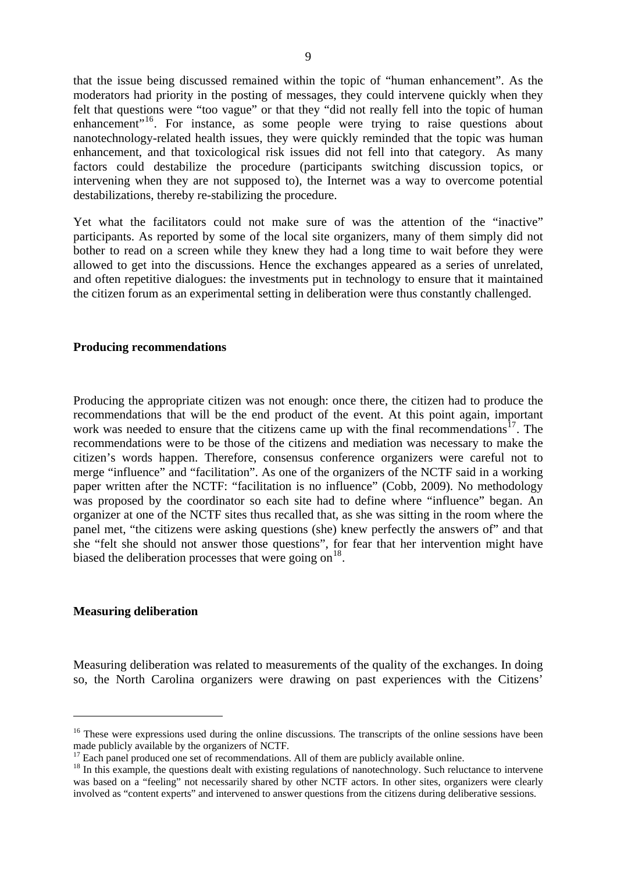that the issue being discussed remained within the topic of "human enhancement". As the moderators had priority in the posting of messages, they could intervene quickly when they felt that questions were "too vague" or that they "did not really fell into the topic of human enhancement"<sup>[16](#page-11-0)</sup>. For instance, as some people were trying to raise questions about nanotechnology-related health issues, they were quickly reminded that the topic was human enhancement, and that toxicological risk issues did not fell into that category. As many factors could destabilize the procedure (participants switching discussion topics, or intervening when they are not supposed to), the Internet was a way to overcome potential destabilizations, thereby re-stabilizing the procedure.

Yet what the facilitators could not make sure of was the attention of the "inactive" participants. As reported by some of the local site organizers, many of them simply did not bother to read on a screen while they knew they had a long time to wait before they were allowed to get into the discussions. Hence the exchanges appeared as a series of unrelated, and often repetitive dialogues: the investments put in technology to ensure that it maintained the citizen forum as an experimental setting in deliberation were thus constantly challenged.

#### **Producing recommendations**

Producing the appropriate citizen was not enough: once there, the citizen had to produce the recommendations that will be the end product of the event. At this point again, important work was needed to ensure that the citizens came up with the final recommendations<sup>[17](#page-11-1)</sup>. The recommendations were to be those of the citizens and mediation was necessary to make the citizen's words happen. Therefore, consensus conference organizers were careful not to merge "influence" and "facilitation". As one of the organizers of the NCTF said in a working paper written after the NCTF: "facilitation is no influence" (Cobb, 2009). No methodology was proposed by the coordinator so each site had to define where "influence" began. An organizer at one of the NCTF sites thus recalled that, as she was sitting in the room where the panel met, "the citizens were asking questions (she) knew perfectly the answers of" and that she "felt she should not answer those questions", for fear that her intervention might have biased the deliberation processes that were going on  $18$ .

#### **Measuring deliberation**

1

Measuring deliberation was related to measurements of the quality of the exchanges. In doing so, the North Carolina organizers were drawing on past experiences with the Citizens'

<span id="page-11-0"></span><sup>&</sup>lt;sup>16</sup> These were expressions used during the online discussions. The transcripts of the online sessions have been made publicly available by the organizers of NCTF.

 $17$  Each panel produced one set of recommendations. All of them are publicly available online.

<span id="page-11-2"></span><span id="page-11-1"></span><sup>&</sup>lt;sup>18</sup> In this example, the questions dealt with existing regulations of nanotechnology. Such reluctance to intervene was based on a "feeling" not necessarily shared by other NCTF actors. In other sites, organizers were clearly involved as "content experts" and intervened to answer questions from the citizens during deliberative sessions.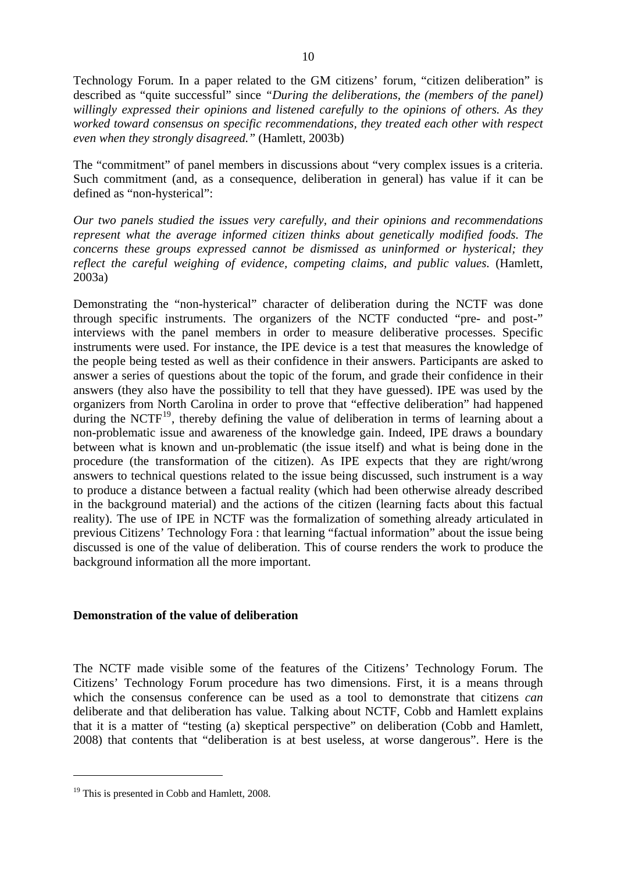Technology Forum. In a paper related to the GM citizens' forum, "citizen deliberation" is described as "quite successful" since *"During the deliberations, the (members of the panel) willingly expressed their opinions and listened carefully to the opinions of others. As they worked toward consensus on specific recommendations, they treated each other with respect even when they strongly disagreed."* (Hamlett, 2003b)

The "commitment" of panel members in discussions about "very complex issues is a criteria. Such commitment (and, as a consequence, deliberation in general) has value if it can be defined as "non-hysterical":

*Our two panels studied the issues very carefully, and their opinions and recommendations represent what the average informed citizen thinks about genetically modified foods. The concerns these groups expressed cannot be dismissed as uninformed or hysterical; they reflect the careful weighing of evidence, competing claims, and public values.* (Hamlett, 2003a)

Demonstrating the "non-hysterical" character of deliberation during the NCTF was done through specific instruments. The organizers of the NCTF conducted "pre- and post-" interviews with the panel members in order to measure deliberative processes. Specific instruments were used. For instance, the IPE device is a test that measures the knowledge of the people being tested as well as their confidence in their answers. Participants are asked to answer a series of questions about the topic of the forum, and grade their confidence in their answers (they also have the possibility to tell that they have guessed). IPE was used by the organizers from North Carolina in order to prove that "effective deliberation" had happened during the NCTF<sup>[19](#page-12-0)</sup>, thereby defining the value of deliberation in terms of learning about a non-problematic issue and awareness of the knowledge gain. Indeed, IPE draws a boundary between what is known and un-problematic (the issue itself) and what is being done in the procedure (the transformation of the citizen). As IPE expects that they are right/wrong answers to technical questions related to the issue being discussed, such instrument is a way to produce a distance between a factual reality (which had been otherwise already described in the background material) and the actions of the citizen (learning facts about this factual reality). The use of IPE in NCTF was the formalization of something already articulated in previous Citizens' Technology Fora : that learning "factual information" about the issue being discussed is one of the value of deliberation. This of course renders the work to produce the background information all the more important.

### **Demonstration of the value of deliberation**

The NCTF made visible some of the features of the Citizens' Technology Forum. The Citizens' Technology Forum procedure has two dimensions. First, it is a means through which the consensus conference can be used as a tool to demonstrate that citizens *can*  deliberate and that deliberation has value. Talking about NCTF, Cobb and Hamlett explains that it is a matter of "testing (a) skeptical perspective" on deliberation (Cobb and Hamlett, 2008) that contents that "deliberation is at best useless, at worse dangerous". Here is the

<span id="page-12-0"></span><sup>&</sup>lt;sup>19</sup> This is presented in Cobb and Hamlett, 2008.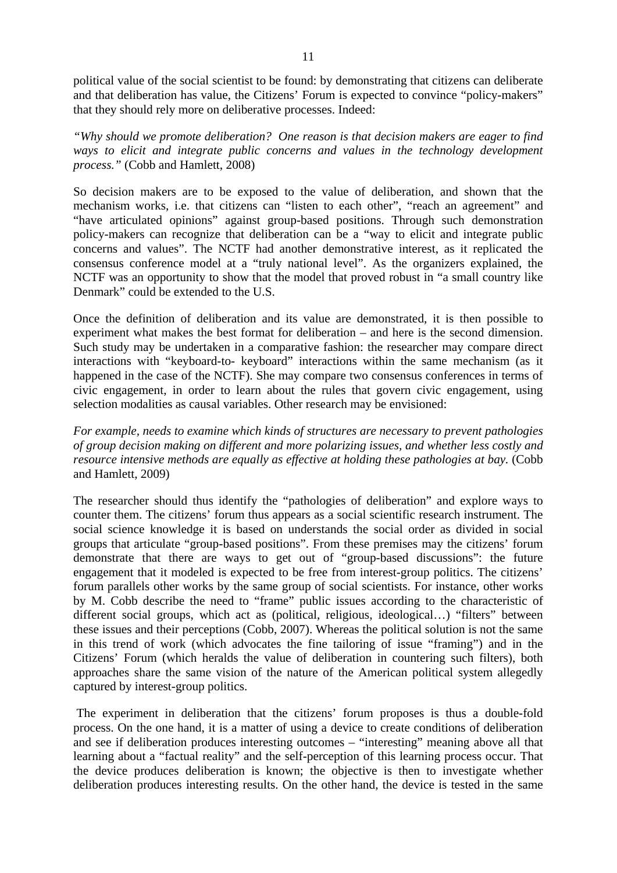political value of the social scientist to be found: by demonstrating that citizens can deliberate and that deliberation has value, the Citizens' Forum is expected to convince "policy-makers" that they should rely more on deliberative processes. Indeed:

*"Why should we promote deliberation? One reason is that decision makers are eager to find ways to elicit and integrate public concerns and values in the technology development process."* (Cobb and Hamlett, 2008)

So decision makers are to be exposed to the value of deliberation, and shown that the mechanism works, i.e. that citizens can "listen to each other", "reach an agreement" and "have articulated opinions" against group-based positions. Through such demonstration policy-makers can recognize that deliberation can be a "way to elicit and integrate public concerns and values". The NCTF had another demonstrative interest, as it replicated the consensus conference model at a "truly national level". As the organizers explained, the NCTF was an opportunity to show that the model that proved robust in "a small country like Denmark" could be extended to the U.S.

Once the definition of deliberation and its value are demonstrated, it is then possible to experiment what makes the best format for deliberation – and here is the second dimension. Such study may be undertaken in a comparative fashion: the researcher may compare direct interactions with "keyboard-to- keyboard" interactions within the same mechanism (as it happened in the case of the NCTF). She may compare two consensus conferences in terms of civic engagement, in order to learn about the rules that govern civic engagement, using selection modalities as causal variables. Other research may be envisioned:

*For example, needs to examine which kinds of structures are necessary to prevent pathologies of group decision making on different and more polarizing issues, and whether less costly and resource intensive methods are equally as effective at holding these pathologies at bay.* (Cobb and Hamlett, 2009)

The researcher should thus identify the "pathologies of deliberation" and explore ways to counter them. The citizens' forum thus appears as a social scientific research instrument. The social science knowledge it is based on understands the social order as divided in social groups that articulate "group-based positions". From these premises may the citizens' forum demonstrate that there are ways to get out of "group-based discussions": the future engagement that it modeled is expected to be free from interest-group politics. The citizens' forum parallels other works by the same group of social scientists. For instance, other works by M. Cobb describe the need to "frame" public issues according to the characteristic of different social groups, which act as (political, religious, ideological…) "filters" between these issues and their perceptions (Cobb, 2007). Whereas the political solution is not the same in this trend of work (which advocates the fine tailoring of issue "framing") and in the Citizens' Forum (which heralds the value of deliberation in countering such filters), both approaches share the same vision of the nature of the American political system allegedly captured by interest-group politics.

 The experiment in deliberation that the citizens' forum proposes is thus a double-fold process. On the one hand, it is a matter of using a device to create conditions of deliberation and see if deliberation produces interesting outcomes – "interesting" meaning above all that learning about a "factual reality" and the self-perception of this learning process occur. That the device produces deliberation is known; the objective is then to investigate whether deliberation produces interesting results. On the other hand, the device is tested in the same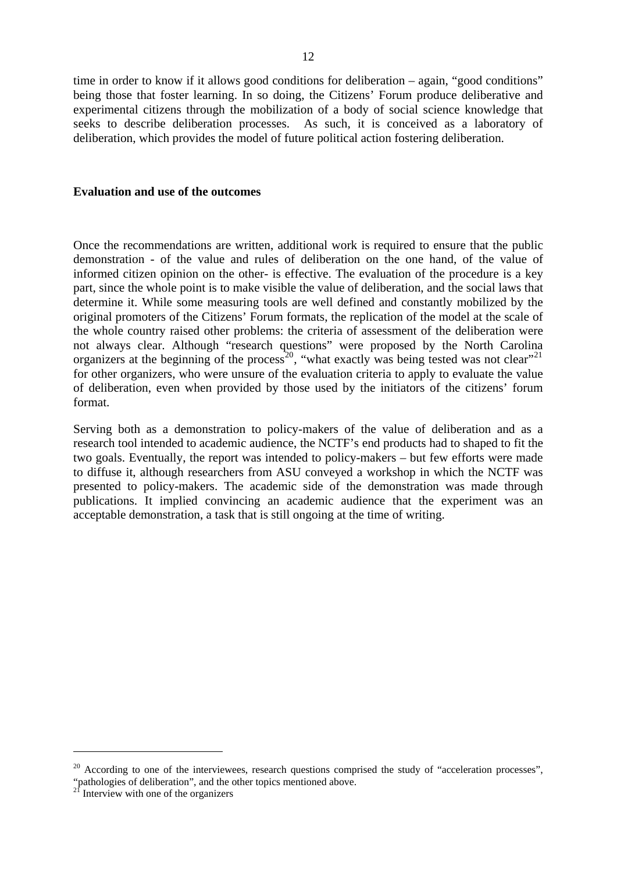time in order to know if it allows good conditions for deliberation – again, "good conditions" being those that foster learning. In so doing, the Citizens' Forum produce deliberative and experimental citizens through the mobilization of a body of social science knowledge that seeks to describe deliberation processes. As such, it is conceived as a laboratory of deliberation, which provides the model of future political action fostering deliberation.

#### **Evaluation and use of the outcomes**

Once the recommendations are written, additional work is required to ensure that the public demonstration - of the value and rules of deliberation on the one hand, of the value of informed citizen opinion on the other- is effective. The evaluation of the procedure is a key part, since the whole point is to make visible the value of deliberation, and the social laws that determine it. While some measuring tools are well defined and constantly mobilized by the original promoters of the Citizens' Forum formats, the replication of the model at the scale of the whole country raised other problems: the criteria of assessment of the deliberation were not always clear. Although "research questions" were proposed by the North Carolina organizers at the beginning of the process<sup>[20](#page-14-0)</sup>, "what exactly was being tested was not clear"<sup>[21](#page-14-1)</sup> for other organizers, who were unsure of the evaluation criteria to apply to evaluate the value of deliberation, even when provided by those used by the initiators of the citizens' forum format.

Serving both as a demonstration to policy-makers of the value of deliberation and as a research tool intended to academic audience, the NCTF's end products had to shaped to fit the two goals. Eventually, the report was intended to policy-makers – but few efforts were made to diffuse it, although researchers from ASU conveyed a workshop in which the NCTF was presented to policy-makers. The academic side of the demonstration was made through publications. It implied convincing an academic audience that the experiment was an acceptable demonstration, a task that is still ongoing at the time of writing.

<span id="page-14-0"></span><sup>&</sup>lt;sup>20</sup> According to one of the interviewees, research questions comprised the study of "acceleration processes", "pathologies of deliberation", and the other topics mentioned above.

<span id="page-14-1"></span> $2<sup>1</sup>$  Interview with one of the organizers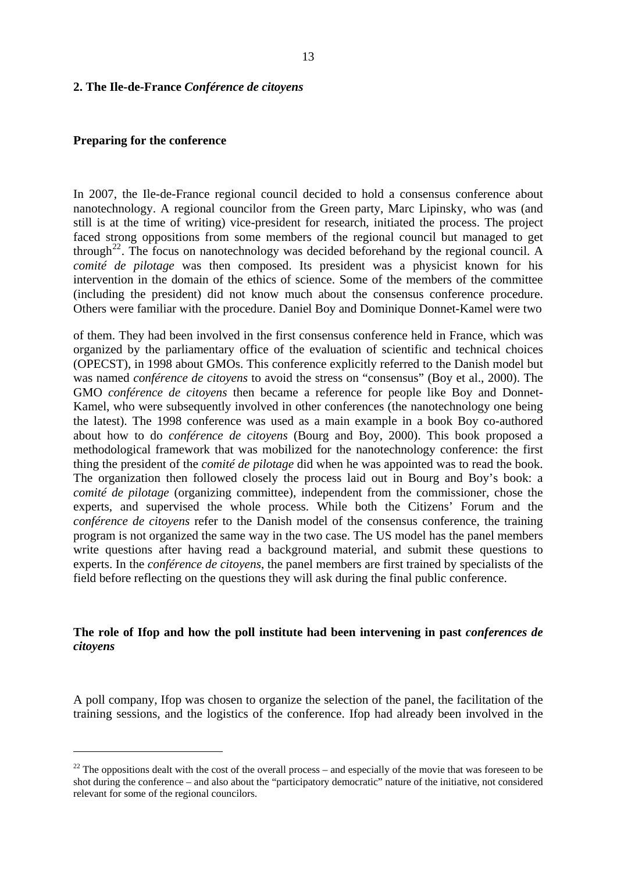#### **2. The Ile-de-France** *Conférence de citoyens*

#### **Preparing for the conference**

1

In 2007, the Ile-de-France regional council decided to hold a consensus conference about nanotechnology. A regional councilor from the Green party, Marc Lipinsky, who was (and still is at the time of writing) vice-president for research, initiated the process. The project faced strong oppositions from some members of the regional council but managed to get through<sup>[22](#page-15-0)</sup>. The focus on nanotechnology was decided beforehand by the regional council. A *comité de pilotage* was then composed. Its president was a physicist known for his intervention in the domain of the ethics of science. Some of the members of the committee (including the president) did not know much about the consensus conference procedure. Others were familiar with the procedure. Daniel Boy and Dominique Donnet-Kamel were two

of them. They had been involved in the first consensus conference held in France, which was organized by the parliamentary office of the evaluation of scientific and technical choices (OPECST), in 1998 about GMOs. This conference explicitly referred to the Danish model but was named *conférence de citoyens* to avoid the stress on "consensus" (Boy et al., 2000). The GMO *conférence de citoyens* then became a reference for people like Boy and Donnet-Kamel, who were subsequently involved in other conferences (the nanotechnology one being the latest). The 1998 conference was used as a main example in a book Boy co-authored about how to do *conférence de citoyens* (Bourg and Boy, 2000). This book proposed a methodological framework that was mobilized for the nanotechnology conference: the first thing the president of the *comité de pilotage* did when he was appointed was to read the book. The organization then followed closely the process laid out in Bourg and Boy's book: a *comité de pilotage* (organizing committee), independent from the commissioner, chose the experts, and supervised the whole process. While both the Citizens' Forum and the *conférence de citoyens* refer to the Danish model of the consensus conference, the training program is not organized the same way in the two case. The US model has the panel members write questions after having read a background material, and submit these questions to experts. In the *conférence de citoyens*, the panel members are first trained by specialists of the field before reflecting on the questions they will ask during the final public conference.

### **The role of Ifop and how the poll institute had been intervening in past** *conferences de citoyens*

A poll company, Ifop was chosen to organize the selection of the panel, the facilitation of the training sessions, and the logistics of the conference. Ifop had already been involved in the

<span id="page-15-0"></span> $22$  The oppositions dealt with the cost of the overall process – and especially of the movie that was foreseen to be shot during the conference – and also about the "participatory democratic" nature of the initiative, not considered relevant for some of the regional councilors.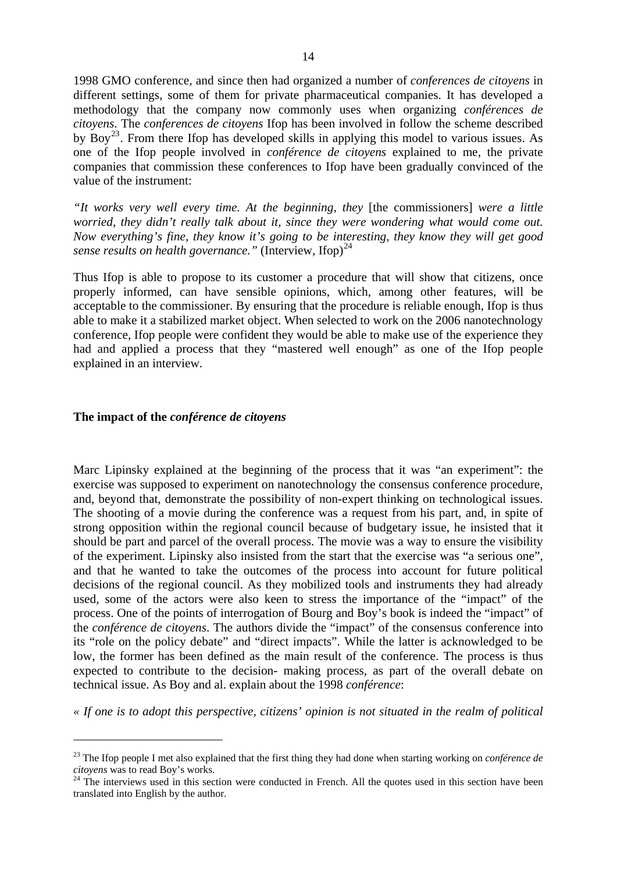1998 GMO conference, and since then had organized a number of *conferences de citoyens* in different settings, some of them for private pharmaceutical companies. It has developed a methodology that the company now commonly uses when organizing *conférences de citoyens*. The *conferences de citoyens* Ifop has been involved in follow the scheme described by Boy<sup>[23](#page-16-0)</sup>. From there Ifop has developed skills in applying this model to various issues. As one of the Ifop people involved in *conférence de citoyens* explained to me, the private companies that commission these conferences to Ifop have been gradually convinced of the value of the instrument:

*"It works very well every time. At the beginning, they* [the commissioners] *were a little worried, they didn't really talk about it, since they were wondering what would come out. Now everything's fine, they know it's going to be interesting, they know they will get good sense results on health governance.*" (Interview, Ifop)<sup>[24](#page-16-1)</sup>

Thus Ifop is able to propose to its customer a procedure that will show that citizens, once properly informed, can have sensible opinions, which, among other features, will be acceptable to the commissioner. By ensuring that the procedure is reliable enough, Ifop is thus able to make it a stabilized market object. When selected to work on the 2006 nanotechnology conference, Ifop people were confident they would be able to make use of the experience they had and applied a process that they "mastered well enough" as one of the Ifop people explained in an interview.

#### **The impact of the** *conférence de citoyens*

<u>.</u>

Marc Lipinsky explained at the beginning of the process that it was "an experiment": the exercise was supposed to experiment on nanotechnology the consensus conference procedure, and, beyond that, demonstrate the possibility of non-expert thinking on technological issues. The shooting of a movie during the conference was a request from his part, and, in spite of strong opposition within the regional council because of budgetary issue, he insisted that it should be part and parcel of the overall process. The movie was a way to ensure the visibility of the experiment. Lipinsky also insisted from the start that the exercise was "a serious one", and that he wanted to take the outcomes of the process into account for future political decisions of the regional council. As they mobilized tools and instruments they had already used, some of the actors were also keen to stress the importance of the "impact" of the process. One of the points of interrogation of Bourg and Boy's book is indeed the "impact" of the *conférence de citoyens*. The authors divide the "impact" of the consensus conference into its "role on the policy debate" and "direct impacts". While the latter is acknowledged to be low, the former has been defined as the main result of the conference. The process is thus expected to contribute to the decision- making process, as part of the overall debate on technical issue. As Boy and al. explain about the 1998 *conférence*:

*« If one is to adopt this perspective, citizens' opinion is not situated in the realm of political* 

<span id="page-16-0"></span><sup>&</sup>lt;sup>23</sup> The Ifop people I met also explained that the first thing they had done when starting working on *conférence de citovens* was to read Boy's works.

<span id="page-16-1"></span><sup>&</sup>lt;sup>24</sup> The interviews used in this section were conducted in French. All the quotes used in this section have been translated into English by the author.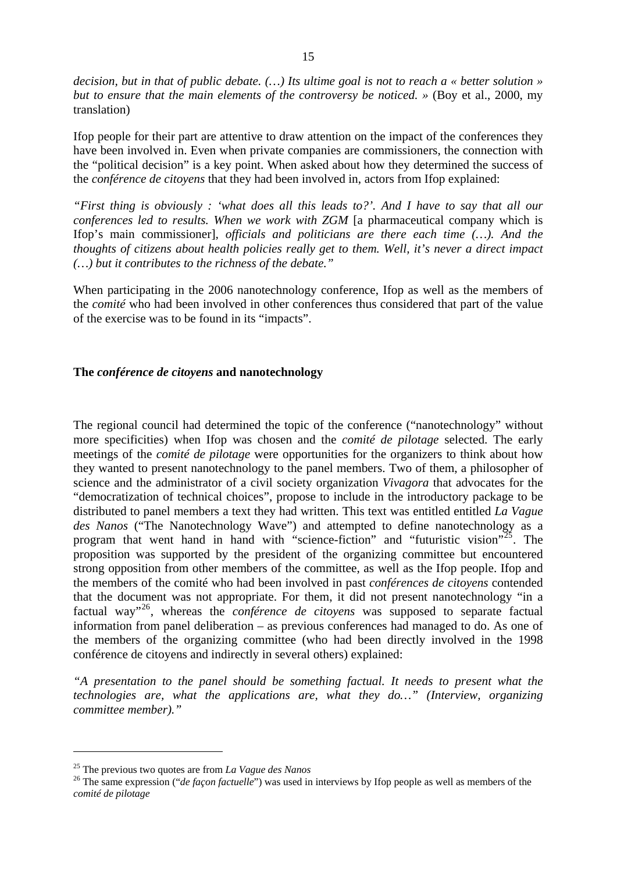*decision, but in that of public debate. (…) Its ultime goal is not to reach a « better solution » but to ensure that the main elements of the controversy be noticed.* » (Boy et al., 2000, my translation)

Ifop people for their part are attentive to draw attention on the impact of the conferences they have been involved in. Even when private companies are commissioners, the connection with the "political decision" is a key point. When asked about how they determined the success of the *conférence de citoyens* that they had been involved in, actors from Ifop explained:

*"First thing is obviously : 'what does all this leads to?'. And I have to say that all our conferences led to results. When we work with ZGM* [a pharmaceutical company which is Ifop's main commissioner]*, officials and politicians are there each time (…). And the thoughts of citizens about health policies really get to them. Well, it's never a direct impact (…) but it contributes to the richness of the debate."*

When participating in the 2006 nanotechnology conference, Ifop as well as the members of the *comité* who had been involved in other conferences thus considered that part of the value of the exercise was to be found in its "impacts".

#### **The** *conférence de citoyens* **and nanotechnology**

The regional council had determined the topic of the conference ("nanotechnology" without more specificities) when Ifop was chosen and the *comité de pilotage* selected. The early meetings of the *comité de pilotage* were opportunities for the organizers to think about how they wanted to present nanotechnology to the panel members. Two of them, a philosopher of science and the administrator of a civil society organization *Vivagora* that advocates for the "democratization of technical choices", propose to include in the introductory package to be distributed to panel members a text they had written. This text was entitled entitled *La Vague des Nanos* ("The Nanotechnology Wave") and attempted to define nanotechnology as a program that went hand in hand with "science-fiction" and "futuristic vision"<sup>[25](#page-17-0)</sup>. The proposition was supported by the president of the organizing committee but encountered strong opposition from other members of the committee, as well as the Ifop people. Ifop and the members of the comité who had been involved in past *conférences de citoyens* contended that the document was not appropriate. For them, it did not present nanotechnology "in a factual way"[26](#page-17-1), whereas the *conférence de citoyens* was supposed to separate factual information from panel deliberation – as previous conferences had managed to do. As one of the members of the organizing committee (who had been directly involved in the 1998 conférence de citoyens and indirectly in several others) explained:

*"A presentation to the panel should be something factual. It needs to present what the technologies are, what the applications are, what they do…" (Interview, organizing committee member)."* 

<span id="page-17-1"></span><span id="page-17-0"></span><sup>&</sup>lt;sup>25</sup> The previous two quotes are from *La Vague des Nanos*<br><sup>26</sup> The same expression (*"de façon factuelle"*) was used in interviews by Ifop people as well as members of the *comité de pilotage*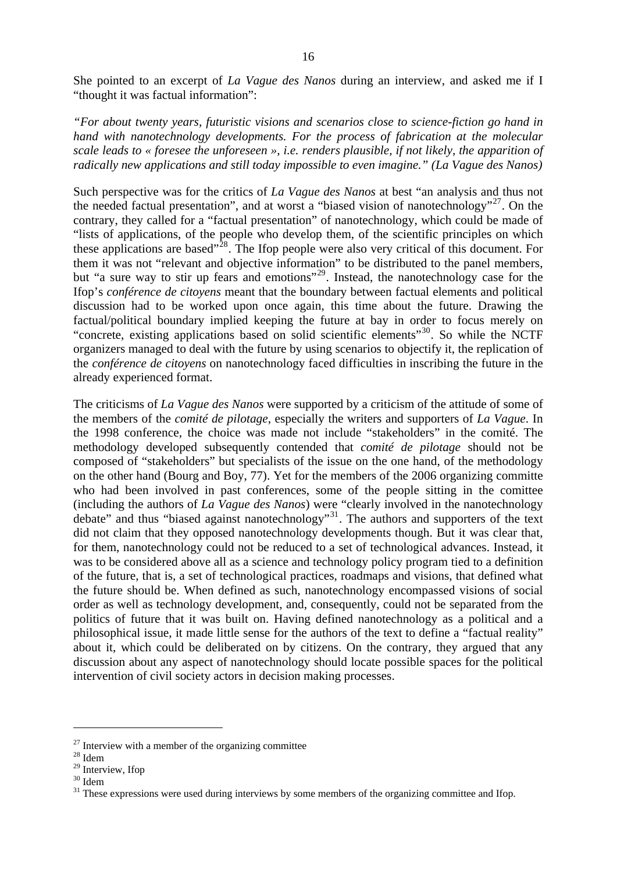She pointed to an excerpt of *La Vague des Nanos* during an interview, and asked me if I "thought it was factual information":

*"For about twenty years, futuristic visions and scenarios close to science-fiction go hand in hand with nanotechnology developments. For the process of fabrication at the molecular scale leads to « foresee the unforeseen », i.e. renders plausible, if not likely, the apparition of radically new applications and still today impossible to even imagine." (La Vague des Nanos)*

Such perspective was for the critics of *La Vague des Nanos* at best "an analysis and thus not the needed factual presentation", and at worst a "biased vision of nanotechnology"<sup>[27](#page-18-0)</sup>. On the contrary, they called for a "factual presentation" of nanotechnology, which could be made of "lists of applications, of the people who develop them, of the scientific principles on which these applications are based"<sup>[28](#page-18-1)</sup>. The Ifop people were also very critical of this document. For them it was not "relevant and objective information" to be distributed to the panel members, but "a sure way to stir up fears and emotions"<sup>[29](#page-18-2)</sup>. Instead, the nanotechnology case for the Ifop's *conférence de citoyens* meant that the boundary between factual elements and political discussion had to be worked upon once again, this time about the future. Drawing the factual/political boundary implied keeping the future at bay in order to focus merely on "concrete, existing applications based on solid scientific elements"[30](#page-18-3). So while the NCTF organizers managed to deal with the future by using scenarios to objectify it, the replication of the *conférence de citoyens* on nanotechnology faced difficulties in inscribing the future in the already experienced format.

The criticisms of *La Vague des Nanos* were supported by a criticism of the attitude of some of the members of the *comité de pilotage*, especially the writers and supporters of *La Vague*. In the 1998 conference, the choice was made not include "stakeholders" in the comité. The methodology developed subsequently contended that *comité de pilotage* should not be composed of "stakeholders" but specialists of the issue on the one hand, of the methodology on the other hand (Bourg and Boy, 77). Yet for the members of the 2006 organizing committe who had been involved in past conferences, some of the people sitting in the comittee (including the authors of *La Vague des Nanos*) were "clearly involved in the nanotechnology debate" and thus "biased against nanotechnology"<sup>[31](#page-18-4)</sup>. The authors and supporters of the text did not claim that they opposed nanotechnology developments though. But it was clear that, for them, nanotechnology could not be reduced to a set of technological advances. Instead, it was to be considered above all as a science and technology policy program tied to a definition of the future, that is, a set of technological practices, roadmaps and visions, that defined what the future should be. When defined as such, nanotechnology encompassed visions of social order as well as technology development, and, consequently, could not be separated from the politics of future that it was built on. Having defined nanotechnology as a political and a philosophical issue, it made little sense for the authors of the text to define a "factual reality" about it, which could be deliberated on by citizens. On the contrary, they argued that any discussion about any aspect of nanotechnology should locate possible spaces for the political intervention of civil society actors in decision making processes.

<span id="page-18-0"></span><sup>&</sup>lt;sup>27</sup> Interview with a member of the organizing committee  $^{28}$  Idem

<span id="page-18-1"></span>

<span id="page-18-2"></span> $29$  Interview, Ifop

<span id="page-18-3"></span> $^{30}$  Idem

<span id="page-18-4"></span><sup>&</sup>lt;sup>31</sup> These expressions were used during interviews by some members of the organizing committee and Ifop.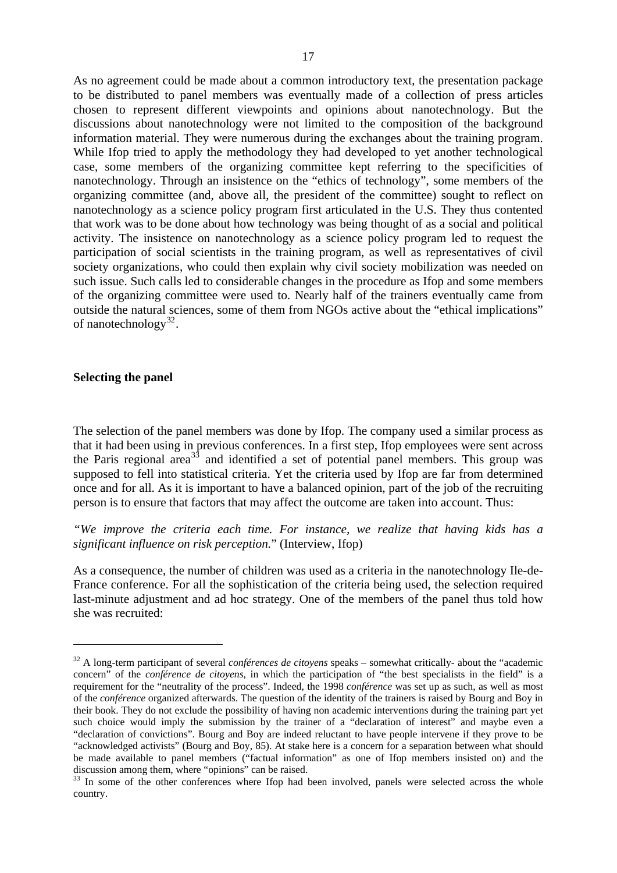As no agreement could be made about a common introductory text, the presentation package to be distributed to panel members was eventually made of a collection of press articles chosen to represent different viewpoints and opinions about nanotechnology. But the discussions about nanotechnology were not limited to the composition of the background information material. They were numerous during the exchanges about the training program. While Ifop tried to apply the methodology they had developed to yet another technological case, some members of the organizing committee kept referring to the specificities of nanotechnology. Through an insistence on the "ethics of technology", some members of the organizing committee (and, above all, the president of the committee) sought to reflect on nanotechnology as a science policy program first articulated in the U.S. They thus contented that work was to be done about how technology was being thought of as a social and political activity. The insistence on nanotechnology as a science policy program led to request the participation of social scientists in the training program, as well as representatives of civil society organizations, who could then explain why civil society mobilization was needed on such issue. Such calls led to considerable changes in the procedure as Ifop and some members of the organizing committee were used to. Nearly half of the trainers eventually came from outside the natural sciences, some of them from NGOs active about the "ethical implications" of nanotechnology<sup>[32](#page-19-0)</sup>.

#### **Selecting the panel**

1

The selection of the panel members was done by Ifop. The company used a similar process as that it had been using in previous conferences. In a first step, Ifop employees were sent across the Paris regional area<sup>[33](#page-19-1)</sup> and identified a set of potential panel members. This group was supposed to fell into statistical criteria. Yet the criteria used by Ifop are far from determined once and for all. As it is important to have a balanced opinion, part of the job of the recruiting person is to ensure that factors that may affect the outcome are taken into account. Thus:

*"We improve the criteria each time. For instance, we realize that having kids has a significant influence on risk perception.*" (Interview, Ifop)

As a consequence, the number of children was used as a criteria in the nanotechnology Ile-de-France conference. For all the sophistication of the criteria being used, the selection required last-minute adjustment and ad hoc strategy. One of the members of the panel thus told how she was recruited:

<span id="page-19-0"></span><sup>&</sup>lt;sup>32</sup> A long-term participant of several *conférences de citoyens* speaks – somewhat critically- about the "academic concern" of the *conférence de citoyens*, in which the participation of "the best specialists in the field" is a requirement for the "neutrality of the process". Indeed, the 1998 *conférence* was set up as such, as well as most of the *conférence* organized afterwards. The question of the identity of the trainers is raised by Bourg and Boy in their book. They do not exclude the possibility of having non academic interventions during the training part yet such choice would imply the submission by the trainer of a "declaration of interest" and maybe even a "declaration of convictions". Bourg and Boy are indeed reluctant to have people intervene if they prove to be "acknowledged activists" (Bourg and Boy, 85). At stake here is a concern for a separation between what should be made available to panel members ("factual information" as one of Ifop members insisted on) and the discussion among them, where "opinions" can be raised.

<span id="page-19-1"></span><sup>&</sup>lt;sup>33</sup> In some of the other conferences where Ifop had been involved, panels were selected across the whole country.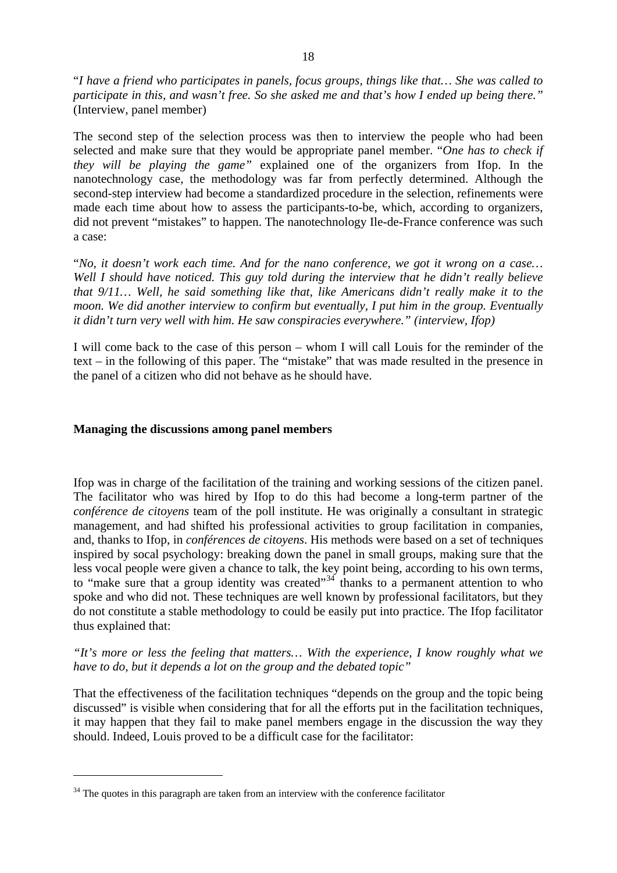"*I have a friend who participates in panels, focus groups, things like that… She was called to participate in this, and wasn't free. So she asked me and that's how I ended up being there."*  (Interview, panel member)

The second step of the selection process was then to interview the people who had been selected and make sure that they would be appropriate panel member. "*One has to check if they will be playing the game"* explained one of the organizers from Ifop. In the nanotechnology case, the methodology was far from perfectly determined. Although the second-step interview had become a standardized procedure in the selection, refinements were made each time about how to assess the participants-to-be, which, according to organizers, did not prevent "mistakes" to happen. The nanotechnology Ile-de-France conference was such a case:

"*No, it doesn't work each time. And for the nano conference, we got it wrong on a case… Well I should have noticed. This guy told during the interview that he didn't really believe that 9/11… Well, he said something like that, like Americans didn't really make it to the moon. We did another interview to confirm but eventually, I put him in the group. Eventually it didn't turn very well with him. He saw conspiracies everywhere." (interview, Ifop)* 

I will come back to the case of this person – whom I will call Louis for the reminder of the text – in the following of this paper. The "mistake" that was made resulted in the presence in the panel of a citizen who did not behave as he should have.

### **Managing the discussions among panel members**

Ifop was in charge of the facilitation of the training and working sessions of the citizen panel. The facilitator who was hired by Ifop to do this had become a long-term partner of the *conférence de citoyens* team of the poll institute. He was originally a consultant in strategic management, and had shifted his professional activities to group facilitation in companies, and, thanks to Ifop, in *conférences de citoyens*. His methods were based on a set of techniques inspired by socal psychology: breaking down the panel in small groups, making sure that the less vocal people were given a chance to talk, the key point being, according to his own terms, to "make sure that a group identity was created" $34$  thanks to a permanent attention to who spoke and who did not. These techniques are well known by professional facilitators, but they do not constitute a stable methodology to could be easily put into practice. The Ifop facilitator thus explained that:

*"It's more or less the feeling that matters… With the experience, I know roughly what we have to do, but it depends a lot on the group and the debated topic"*

That the effectiveness of the facilitation techniques "depends on the group and the topic being discussed" is visible when considering that for all the efforts put in the facilitation techniques, it may happen that they fail to make panel members engage in the discussion the way they should. Indeed, Louis proved to be a difficult case for the facilitator:

<span id="page-20-0"></span> $34$  The quotes in this paragraph are taken from an interview with the conference facilitator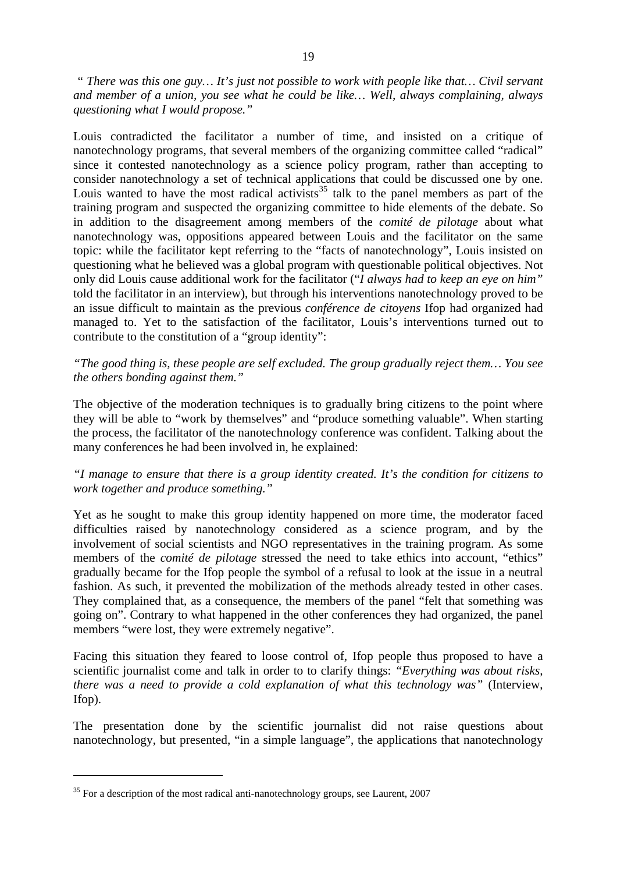*" There was this one guy… It's just not possible to work with people like that… Civil servant and member of a union, you see what he could be like… Well, always complaining, always questioning what I would propose."* 

Louis contradicted the facilitator a number of time, and insisted on a critique of nanotechnology programs, that several members of the organizing committee called "radical" since it contested nanotechnology as a science policy program, rather than accepting to consider nanotechnology a set of technical applications that could be discussed one by one. Louis wanted to have the most radical activists<sup>[35](#page-21-0)</sup> talk to the panel members as part of the training program and suspected the organizing committee to hide elements of the debate. So in addition to the disagreement among members of the *comité de pilotage* about what nanotechnology was, oppositions appeared between Louis and the facilitator on the same topic: while the facilitator kept referring to the "facts of nanotechnology", Louis insisted on questioning what he believed was a global program with questionable political objectives. Not only did Louis cause additional work for the facilitator ("*I always had to keep an eye on him"*  told the facilitator in an interview), but through his interventions nanotechnology proved to be an issue difficult to maintain as the previous *conférence de citoyens* Ifop had organized had managed to. Yet to the satisfaction of the facilitator, Louis's interventions turned out to contribute to the constitution of a "group identity":

# *"The good thing is, these people are self excluded. The group gradually reject them… You see the others bonding against them."*

The objective of the moderation techniques is to gradually bring citizens to the point where they will be able to "work by themselves" and "produce something valuable". When starting the process, the facilitator of the nanotechnology conference was confident. Talking about the many conferences he had been involved in, he explained:

# *"I manage to ensure that there is a group identity created. It's the condition for citizens to work together and produce something."*

Yet as he sought to make this group identity happened on more time, the moderator faced difficulties raised by nanotechnology considered as a science program, and by the involvement of social scientists and NGO representatives in the training program. As some members of the *comité de pilotage* stressed the need to take ethics into account, "ethics" gradually became for the Ifop people the symbol of a refusal to look at the issue in a neutral fashion. As such, it prevented the mobilization of the methods already tested in other cases. They complained that, as a consequence, the members of the panel "felt that something was going on". Contrary to what happened in the other conferences they had organized, the panel members "were lost, they were extremely negative".

Facing this situation they feared to loose control of, Ifop people thus proposed to have a scientific journalist come and talk in order to to clarify things: *"Everything was about risks, there was a need to provide a cold explanation of what this technology was*" (Interview, Ifop).

The presentation done by the scientific journalist did not raise questions about nanotechnology, but presented, "in a simple language", the applications that nanotechnology

<span id="page-21-0"></span><sup>&</sup>lt;sup>35</sup> For a description of the most radical anti-nanotechnology groups, see Laurent, 2007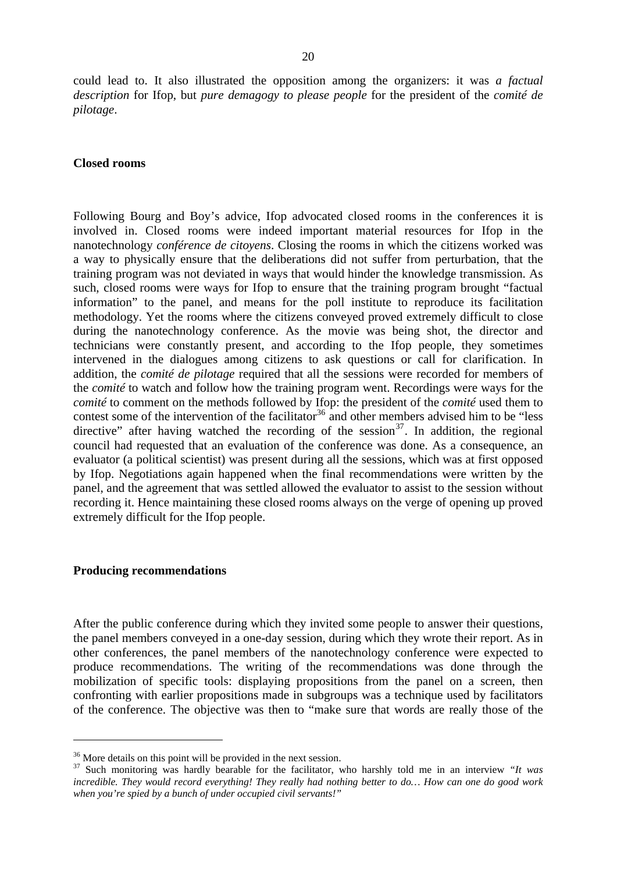could lead to. It also illustrated the opposition among the organizers: it was *a factual description* for Ifop, but *pure demagogy to please people* for the president of the *comité de pilotage*.

#### **Closed rooms**

Following Bourg and Boy's advice, Ifop advocated closed rooms in the conferences it is involved in. Closed rooms were indeed important material resources for Ifop in the nanotechnology *conférence de citoyens*. Closing the rooms in which the citizens worked was a way to physically ensure that the deliberations did not suffer from perturbation, that the training program was not deviated in ways that would hinder the knowledge transmission. As such, closed rooms were ways for Ifop to ensure that the training program brought "factual information" to the panel, and means for the poll institute to reproduce its facilitation methodology. Yet the rooms where the citizens conveyed proved extremely difficult to close during the nanotechnology conference. As the movie was being shot, the director and technicians were constantly present, and according to the Ifop people, they sometimes intervened in the dialogues among citizens to ask questions or call for clarification. In addition, the *comité de pilotage* required that all the sessions were recorded for members of the *comité* to watch and follow how the training program went. Recordings were ways for the *comité* to comment on the methods followed by Ifop: the president of the *comité* used them to contest some of the intervention of the facilitator<sup>[36](#page-22-0)</sup> and other members advised him to be "less" directive" after having watched the recording of the session<sup>[37](#page-22-1)</sup>. In addition, the regional council had requested that an evaluation of the conference was done. As a consequence, an evaluator (a political scientist) was present during all the sessions, which was at first opposed by Ifop. Negotiations again happened when the final recommendations were written by the panel, and the agreement that was settled allowed the evaluator to assist to the session without recording it. Hence maintaining these closed rooms always on the verge of opening up proved extremely difficult for the Ifop people.

#### **Producing recommendations**

<u>.</u>

After the public conference during which they invited some people to answer their questions, the panel members conveyed in a one-day session, during which they wrote their report. As in other conferences, the panel members of the nanotechnology conference were expected to produce recommendations. The writing of the recommendations was done through the mobilization of specific tools: displaying propositions from the panel on a screen, then confronting with earlier propositions made in subgroups was a technique used by facilitators of the conference. The objective was then to "make sure that words are really those of the

<span id="page-22-0"></span><sup>&</sup>lt;sup>36</sup> More details on this point will be provided in the next session.

<span id="page-22-1"></span><sup>37</sup> Such monitoring was hardly bearable for the facilitator, who harshly told me in an interview *"It was incredible. They would record everything! They really had nothing better to do… How can one do good work when you're spied by a bunch of under occupied civil servants!"*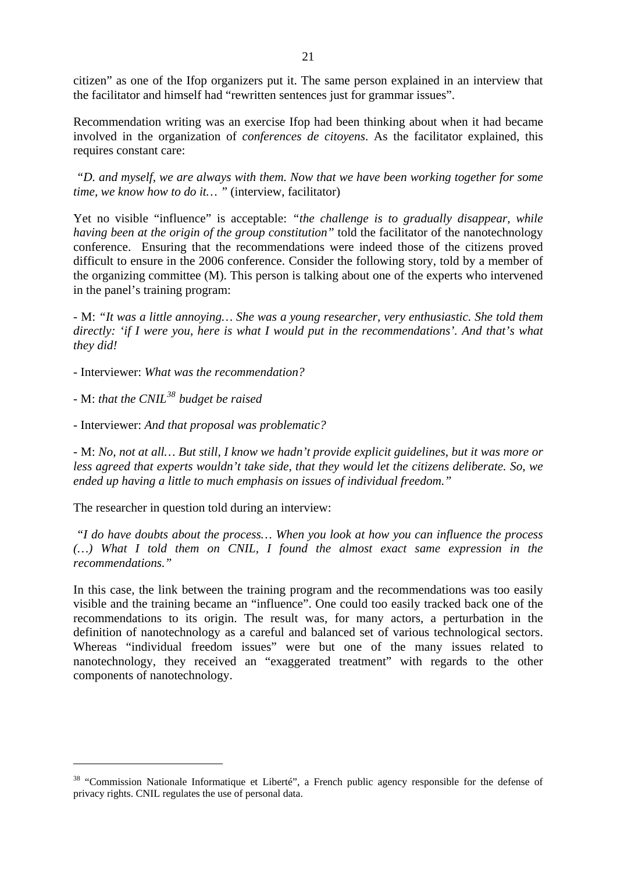citizen" as one of the Ifop organizers put it. The same person explained in an interview that the facilitator and himself had "rewritten sentences just for grammar issues".

Recommendation writing was an exercise Ifop had been thinking about when it had became involved in the organization of *conferences de citoyens*. As the facilitator explained, this requires constant care:

 *"D. and myself, we are always with them. Now that we have been working together for some time, we know how to do it… "* (interview, facilitator)

Yet no visible "influence" is acceptable: *"the challenge is to gradually disappear, while having been at the origin of the group constitution"* told the facilitator of the nanotechnology conference. Ensuring that the recommendations were indeed those of the citizens proved difficult to ensure in the 2006 conference. Consider the following story, told by a member of the organizing committee (M). This person is talking about one of the experts who intervened in the panel's training program:

- M: *"It was a little annoying… She was a young researcher, very enthusiastic. She told them directly: 'if I were you, here is what I would put in the recommendations'. And that's what they did!* 

- Interviewer: *What was the recommendation?*

- M: *that the CNIL[38](#page-23-0) budget be raised* 

1

- Interviewer: *And that proposal was problematic?* 

- M: *No, not at all… But still, I know we hadn't provide explicit guidelines, but it was more or less agreed that experts wouldn't take side, that they would let the citizens deliberate. So, we ended up having a little to much emphasis on issues of individual freedom."* 

The researcher in question told during an interview:

 *"I do have doubts about the process… When you look at how you can influence the process (…) What I told them on CNIL, I found the almost exact same expression in the recommendations."* 

In this case, the link between the training program and the recommendations was too easily visible and the training became an "influence". One could too easily tracked back one of the recommendations to its origin. The result was, for many actors, a perturbation in the definition of nanotechnology as a careful and balanced set of various technological sectors. Whereas "individual freedom issues" were but one of the many issues related to nanotechnology, they received an "exaggerated treatment" with regards to the other components of nanotechnology.

<span id="page-23-0"></span><sup>&</sup>lt;sup>38</sup> "Commission Nationale Informatique et Liberté", a French public agency responsible for the defense of privacy rights. CNIL regulates the use of personal data.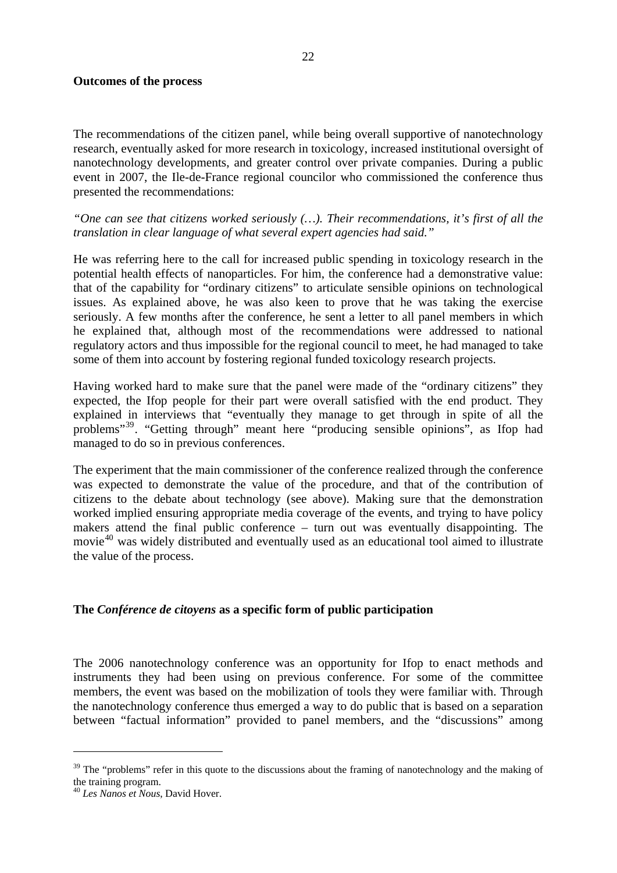#### **Outcomes of the process**

The recommendations of the citizen panel, while being overall supportive of nanotechnology research, eventually asked for more research in toxicology, increased institutional oversight of nanotechnology developments, and greater control over private companies. During a public event in 2007, the Ile-de-France regional councilor who commissioned the conference thus presented the recommendations:

*"One can see that citizens worked seriously (…). Their recommendations, it's first of all the translation in clear language of what several expert agencies had said."*

He was referring here to the call for increased public spending in toxicology research in the potential health effects of nanoparticles. For him, the conference had a demonstrative value: that of the capability for "ordinary citizens" to articulate sensible opinions on technological issues. As explained above, he was also keen to prove that he was taking the exercise seriously. A few months after the conference, he sent a letter to all panel members in which he explained that, although most of the recommendations were addressed to national regulatory actors and thus impossible for the regional council to meet, he had managed to take some of them into account by fostering regional funded toxicology research projects.

Having worked hard to make sure that the panel were made of the "ordinary citizens" they expected, the Ifop people for their part were overall satisfied with the end product. They explained in interviews that "eventually they manage to get through in spite of all the problems"[39](#page-24-0). "Getting through" meant here "producing sensible opinions", as Ifop had managed to do so in previous conferences.

The experiment that the main commissioner of the conference realized through the conference was expected to demonstrate the value of the procedure, and that of the contribution of citizens to the debate about technology (see above). Making sure that the demonstration worked implied ensuring appropriate media coverage of the events, and trying to have policy makers attend the final public conference – turn out was eventually disappointing. The movie<sup>[40](#page-24-1)</sup> was widely distributed and eventually used as an educational tool aimed to illustrate the value of the process.

#### **The** *Conférence de citoyens* **as a specific form of public participation**

The 2006 nanotechnology conference was an opportunity for Ifop to enact methods and instruments they had been using on previous conference. For some of the committee members, the event was based on the mobilization of tools they were familiar with. Through the nanotechnology conference thus emerged a way to do public that is based on a separation between "factual information" provided to panel members, and the "discussions" among

<span id="page-24-0"></span><sup>&</sup>lt;sup>39</sup> The "problems" refer in this quote to the discussions about the framing of nanotechnology and the making of the training program.

<span id="page-24-1"></span><sup>40</sup> *Les Nanos et Nous*, David Hover.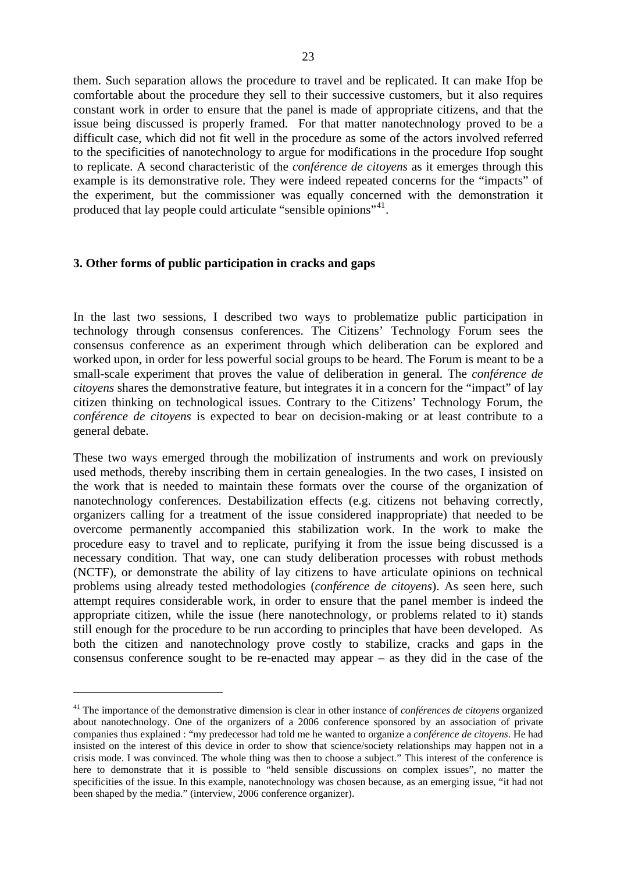them. Such separation allows the procedure to travel and be replicated. It can make Ifop be comfortable about the procedure they sell to their successive customers, but it also requires constant work in order to ensure that the panel is made of appropriate citizens, and that the issue being discussed is properly framed. For that matter nanotechnology proved to be a difficult case, which did not fit well in the procedure as some of the actors involved referred to the specificities of nanotechnology to argue for modifications in the procedure Ifop sought to replicate. A second characteristic of the *conférence de citoyens* as it emerges through this example is its demonstrative role. They were indeed repeated concerns for the "impacts" of the experiment, but the commissioner was equally concerned with the demonstration it produced that lay people could articulate "sensible opinions"<sup>[41](#page-25-0)</sup>.

### **3. Other forms of public participation in cracks and gaps**

1

In the last two sessions, I described two ways to problematize public participation in technology through consensus conferences. The Citizens' Technology Forum sees the consensus conference as an experiment through which deliberation can be explored and worked upon, in order for less powerful social groups to be heard. The Forum is meant to be a small-scale experiment that proves the value of deliberation in general. The *conférence de citoyens* shares the demonstrative feature, but integrates it in a concern for the "impact" of lay citizen thinking on technological issues. Contrary to the Citizens' Technology Forum, the *conférence de citoyens* is expected to bear on decision-making or at least contribute to a general debate.

These two ways emerged through the mobilization of instruments and work on previously used methods, thereby inscribing them in certain genealogies. In the two cases, I insisted on the work that is needed to maintain these formats over the course of the organization of nanotechnology conferences. Destabilization effects (e.g. citizens not behaving correctly, organizers calling for a treatment of the issue considered inappropriate) that needed to be overcome permanently accompanied this stabilization work. In the work to make the procedure easy to travel and to replicate, purifying it from the issue being discussed is a necessary condition. That way, one can study deliberation processes with robust methods (NCTF), or demonstrate the ability of lay citizens to have articulate opinions on technical problems using already tested methodologies (*conférence de citoyens*). As seen here, such attempt requires considerable work, in order to ensure that the panel member is indeed the appropriate citizen, while the issue (here nanotechnology, or problems related to it) stands still enough for the procedure to be run according to principles that have been developed. As both the citizen and nanotechnology prove costly to stabilize, cracks and gaps in the consensus conference sought to be re-enacted may appear – as they did in the case of the

<span id="page-25-0"></span><sup>41</sup> The importance of the demonstrative dimension is clear in other instance of *conférences de citoyens* organized about nanotechnology. One of the organizers of a 2006 conference sponsored by an association of private companies thus explained : "my predecessor had told me he wanted to organize a *conférence de citoyens*. He had insisted on the interest of this device in order to show that science/society relationships may happen not in a crisis mode. I was convinced. The whole thing was then to choose a subject." This interest of the conference is here to demonstrate that it is possible to "held sensible discussions on complex issues", no matter the specificities of the issue. In this example, nanotechnology was chosen because, as an emerging issue, "it had not been shaped by the media." (interview, 2006 conference organizer).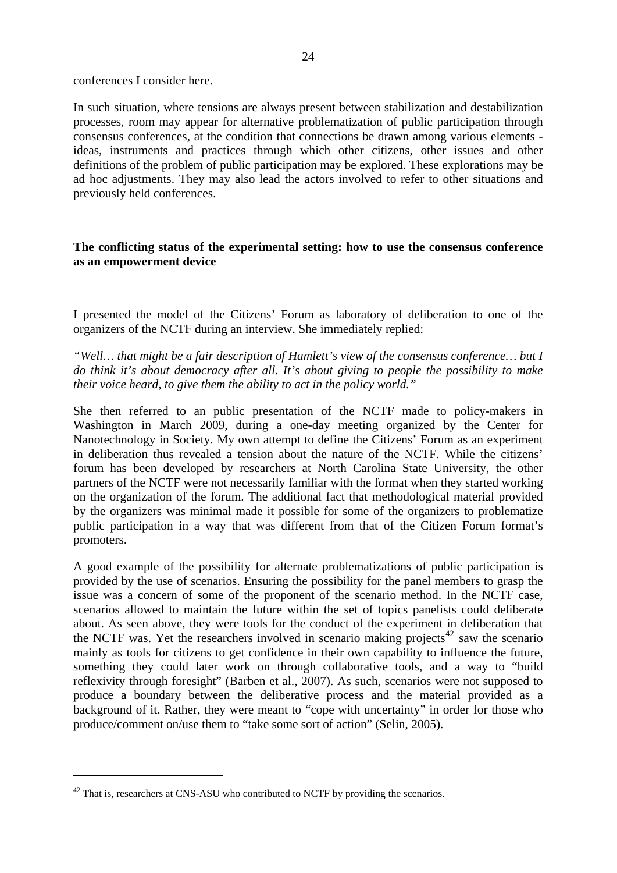conferences I consider here.

In such situation, where tensions are always present between stabilization and destabilization processes, room may appear for alternative problematization of public participation through consensus conferences, at the condition that connections be drawn among various elements ideas, instruments and practices through which other citizens, other issues and other definitions of the problem of public participation may be explored. These explorations may be ad hoc adjustments. They may also lead the actors involved to refer to other situations and previously held conferences.

### **The conflicting status of the experimental setting: how to use the consensus conference as an empowerment device**

I presented the model of the Citizens' Forum as laboratory of deliberation to one of the organizers of the NCTF during an interview. She immediately replied:

*"Well… that might be a fair description of Hamlett's view of the consensus conference… but I do think it's about democracy after all. It's about giving to people the possibility to make their voice heard, to give them the ability to act in the policy world."* 

She then referred to an public presentation of the NCTF made to policy-makers in Washington in March 2009, during a one-day meeting organized by the Center for Nanotechnology in Society. My own attempt to define the Citizens' Forum as an experiment in deliberation thus revealed a tension about the nature of the NCTF. While the citizens' forum has been developed by researchers at North Carolina State University, the other partners of the NCTF were not necessarily familiar with the format when they started working on the organization of the forum. The additional fact that methodological material provided by the organizers was minimal made it possible for some of the organizers to problematize public participation in a way that was different from that of the Citizen Forum format's promoters.

A good example of the possibility for alternate problematizations of public participation is provided by the use of scenarios. Ensuring the possibility for the panel members to grasp the issue was a concern of some of the proponent of the scenario method. In the NCTF case, scenarios allowed to maintain the future within the set of topics panelists could deliberate about. As seen above, they were tools for the conduct of the experiment in deliberation that the NCTF was. Yet the researchers involved in scenario making projects $42$  saw the scenario mainly as tools for citizens to get confidence in their own capability to influence the future, something they could later work on through collaborative tools, and a way to "build reflexivity through foresight" (Barben et al., 2007). As such, scenarios were not supposed to produce a boundary between the deliberative process and the material provided as a background of it. Rather, they were meant to "cope with uncertainty" in order for those who produce/comment on/use them to "take some sort of action" (Selin, 2005).

<span id="page-26-0"></span> $42$  That is, researchers at CNS-ASU who contributed to NCTF by providing the scenarios.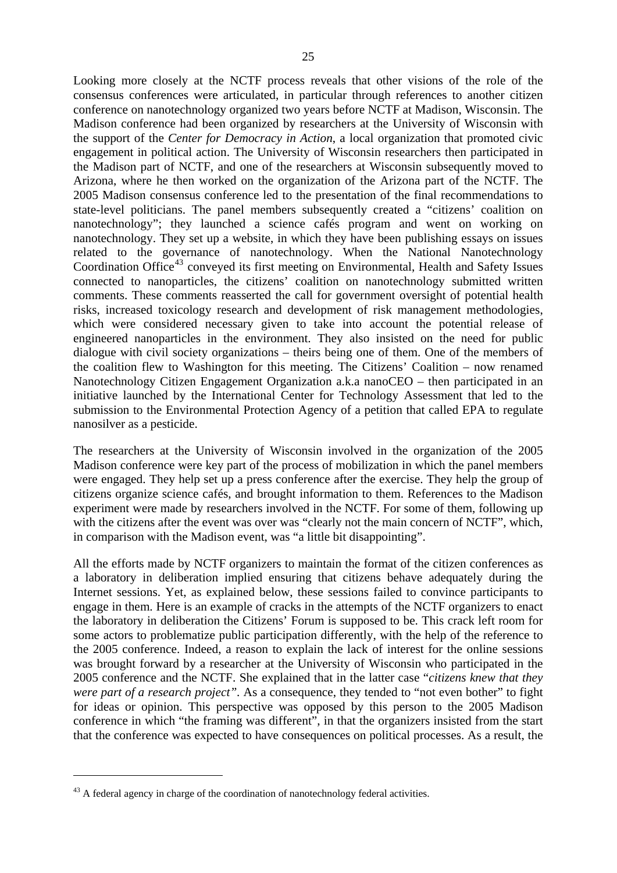Looking more closely at the NCTF process reveals that other visions of the role of the consensus conferences were articulated, in particular through references to another citizen conference on nanotechnology organized two years before NCTF at Madison, Wisconsin. The Madison conference had been organized by researchers at the University of Wisconsin with the support of the *Center for Democracy in Action*, a local organization that promoted civic engagement in political action. The University of Wisconsin researchers then participated in the Madison part of NCTF, and one of the researchers at Wisconsin subsequently moved to Arizona, where he then worked on the organization of the Arizona part of the NCTF. The 2005 Madison consensus conference led to the presentation of the final recommendations to state-level politicians. The panel members subsequently created a "citizens' coalition on nanotechnology"; they launched a science cafés program and went on working on nanotechnology. They set up a website, in which they have been publishing essays on issues related to the governance of nanotechnology. When the National Nanotechnology Coordination Office<sup>[43](#page-27-0)</sup> conveyed its first meeting on Environmental, Health and Safety Issues connected to nanoparticles, the citizens' coalition on nanotechnology submitted written comments. These comments reasserted the call for government oversight of potential health risks, increased toxicology research and development of risk management methodologies, which were considered necessary given to take into account the potential release of engineered nanoparticles in the environment. They also insisted on the need for public dialogue with civil society organizations – theirs being one of them. One of the members of the coalition flew to Washington for this meeting. The Citizens' Coalition – now renamed Nanotechnology Citizen Engagement Organization a.k.a nanoCEO – then participated in an initiative launched by the International Center for Technology Assessment that led to the submission to the Environmental Protection Agency of a petition that called EPA to regulate nanosilver as a pesticide.

The researchers at the University of Wisconsin involved in the organization of the 2005 Madison conference were key part of the process of mobilization in which the panel members were engaged. They help set up a press conference after the exercise. They help the group of citizens organize science cafés, and brought information to them. References to the Madison experiment were made by researchers involved in the NCTF. For some of them, following up with the citizens after the event was over was "clearly not the main concern of NCTF", which, in comparison with the Madison event, was "a little bit disappointing".

All the efforts made by NCTF organizers to maintain the format of the citizen conferences as a laboratory in deliberation implied ensuring that citizens behave adequately during the Internet sessions. Yet, as explained below, these sessions failed to convince participants to engage in them. Here is an example of cracks in the attempts of the NCTF organizers to enact the laboratory in deliberation the Citizens' Forum is supposed to be. This crack left room for some actors to problematize public participation differently, with the help of the reference to the 2005 conference. Indeed, a reason to explain the lack of interest for the online sessions was brought forward by a researcher at the University of Wisconsin who participated in the 2005 conference and the NCTF. She explained that in the latter case "*citizens knew that they were part of a research project".* As a consequence, they tended to "not even bother" to fight for ideas or opinion. This perspective was opposed by this person to the 2005 Madison conference in which "the framing was different", in that the organizers insisted from the start that the conference was expected to have consequences on political processes. As a result, the

<span id="page-27-0"></span><sup>&</sup>lt;sup>43</sup> A federal agency in charge of the coordination of nanotechnology federal activities.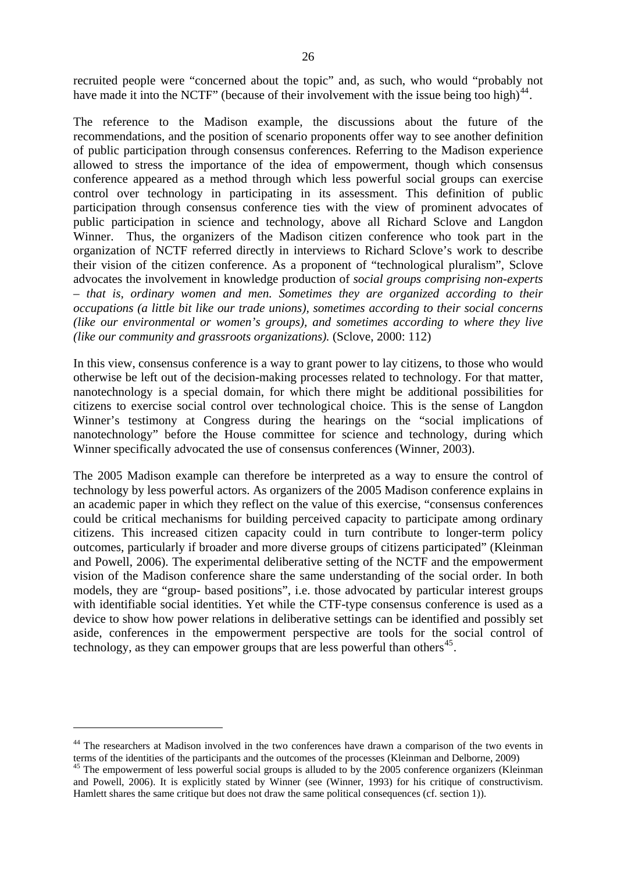recruited people were "concerned about the topic" and, as such, who would "probably not have made it into the NCTF" (because of their involvement with the issue being too high)<sup>[44](#page-28-0)</sup>.

The reference to the Madison example, the discussions about the future of the recommendations, and the position of scenario proponents offer way to see another definition of public participation through consensus conferences. Referring to the Madison experience allowed to stress the importance of the idea of empowerment, though which consensus conference appeared as a method through which less powerful social groups can exercise control over technology in participating in its assessment. This definition of public participation through consensus conference ties with the view of prominent advocates of public participation in science and technology, above all Richard Sclove and Langdon Winner. Thus, the organizers of the Madison citizen conference who took part in the organization of NCTF referred directly in interviews to Richard Sclove's work to describe their vision of the citizen conference. As a proponent of "technological pluralism", Sclove advocates the involvement in knowledge production of *social groups comprising non-experts – that is, ordinary women and men. Sometimes they are organized according to their occupations (a little bit like our trade unions), sometimes according to their social concerns (like our environmental or women's groups), and sometimes according to where they live (like our community and grassroots organizations).* (Sclove, 2000: 112)

In this view, consensus conference is a way to grant power to lay citizens, to those who would otherwise be left out of the decision-making processes related to technology. For that matter, nanotechnology is a special domain, for which there might be additional possibilities for citizens to exercise social control over technological choice. This is the sense of Langdon Winner's testimony at Congress during the hearings on the "social implications of nanotechnology" before the House committee for science and technology, during which Winner specifically advocated the use of consensus conferences (Winner, 2003).

The 2005 Madison example can therefore be interpreted as a way to ensure the control of technology by less powerful actors. As organizers of the 2005 Madison conference explains in an academic paper in which they reflect on the value of this exercise, "consensus conferences could be critical mechanisms for building perceived capacity to participate among ordinary citizens. This increased citizen capacity could in turn contribute to longer-term policy outcomes, particularly if broader and more diverse groups of citizens participated" (Kleinman and Powell, 2006). The experimental deliberative setting of the NCTF and the empowerment vision of the Madison conference share the same understanding of the social order. In both models, they are "group- based positions", i.e. those advocated by particular interest groups with identifiable social identities. Yet while the CTF-type consensus conference is used as a device to show how power relations in deliberative settings can be identified and possibly set aside, conferences in the empowerment perspective are tools for the social control of technology, as they can empower groups that are less powerful than others<sup>[45](#page-28-1)</sup>.

<span id="page-28-0"></span> $44$  The researchers at Madison involved in the two conferences have drawn a comparison of the two events in terms of the identities of the participants and the outcomes of the processes (Kleinman and Delborne, 2009)

<span id="page-28-1"></span> $t<sup>45</sup>$  The empowerment of less powerful social groups is alluded to by the 2005 conference organizers (Kleinman and Powell, 2006). It is explicitly stated by Winner (see (Winner, 1993) for his critique of constructivism. Hamlett shares the same critique but does not draw the same political consequences (cf. section 1)).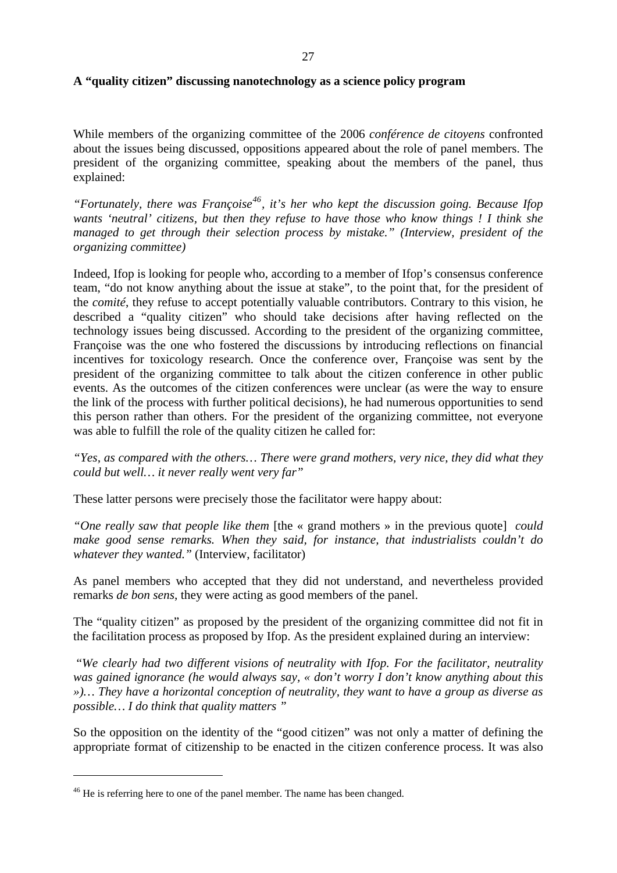#### **A "quality citizen" discussing nanotechnology as a science policy program**

While members of the organizing committee of the 2006 *conférence de citoyens* confronted about the issues being discussed, oppositions appeared about the role of panel members. The president of the organizing committee*,* speaking about the members of the panel, thus explained:

*"Fortunately, there was Françoise[46](#page-29-0), it's her who kept the discussion going. Because Ifop wants 'neutral' citizens, but then they refuse to have those who know things ! I think she managed to get through their selection process by mistake." (Interview, president of the organizing committee)*

Indeed, Ifop is looking for people who, according to a member of Ifop's consensus conference team, "do not know anything about the issue at stake", to the point that, for the president of the *comité*, they refuse to accept potentially valuable contributors. Contrary to this vision, he described a "quality citizen" who should take decisions after having reflected on the technology issues being discussed. According to the president of the organizing committee, Françoise was the one who fostered the discussions by introducing reflections on financial incentives for toxicology research. Once the conference over, Françoise was sent by the president of the organizing committee to talk about the citizen conference in other public events. As the outcomes of the citizen conferences were unclear (as were the way to ensure the link of the process with further political decisions), he had numerous opportunities to send this person rather than others. For the president of the organizing committee, not everyone was able to fulfill the role of the quality citizen he called for:

*"Yes, as compared with the others… There were grand mothers, very nice, they did what they could but well… it never really went very far"*

These latter persons were precisely those the facilitator were happy about:

*"One really saw that people like them* [the « grand mothers » in the previous quote] *could make good sense remarks. When they said, for instance, that industrialists couldn't do whatever they wanted."* (Interview, facilitator)

As panel members who accepted that they did not understand, and nevertheless provided remarks *de bon sens*, they were acting as good members of the panel.

The "quality citizen" as proposed by the president of the organizing committee did not fit in the facilitation process as proposed by Ifop. As the president explained during an interview:

 "*We clearly had two different visions of neutrality with Ifop. For the facilitator, neutrality was gained ignorance (he would always say, « don't worry I don't know anything about this »)… They have a horizontal conception of neutrality, they want to have a group as diverse as possible… I do think that quality matters "*

So the opposition on the identity of the "good citizen" was not only a matter of defining the appropriate format of citizenship to be enacted in the citizen conference process. It was also

<span id="page-29-0"></span><sup>&</sup>lt;sup>46</sup> He is referring here to one of the panel member. The name has been changed.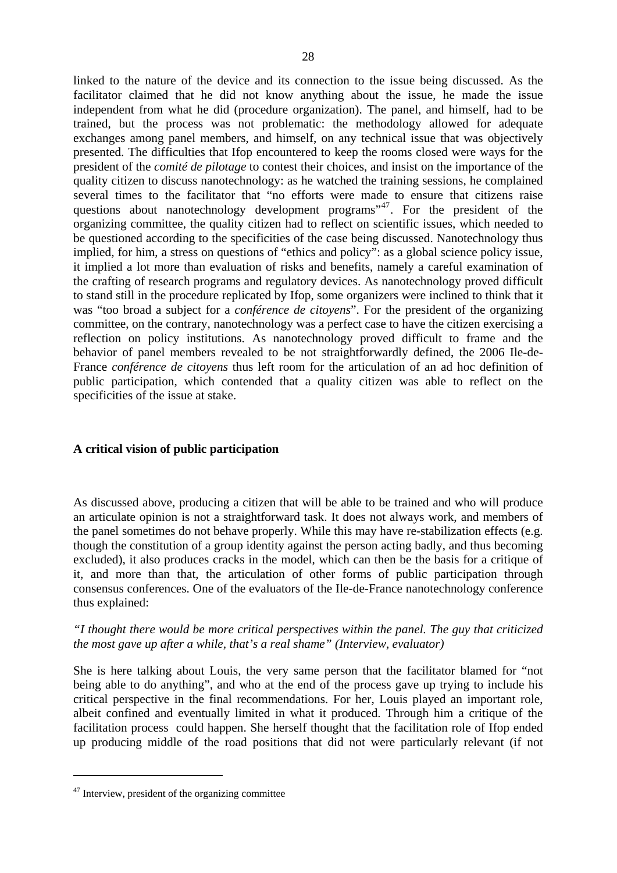linked to the nature of the device and its connection to the issue being discussed. As the facilitator claimed that he did not know anything about the issue, he made the issue independent from what he did (procedure organization). The panel, and himself, had to be trained, but the process was not problematic: the methodology allowed for adequate exchanges among panel members, and himself, on any technical issue that was objectively presented. The difficulties that Ifop encountered to keep the rooms closed were ways for the president of the *comité de pilotage* to contest their choices, and insist on the importance of the quality citizen to discuss nanotechnology: as he watched the training sessions, he complained several times to the facilitator that "no efforts were made to ensure that citizens raise questions about nanotechnology development programs<sup>3[47](#page-30-0)</sup>. For the president of the organizing committee, the quality citizen had to reflect on scientific issues, which needed to be questioned according to the specificities of the case being discussed. Nanotechnology thus implied, for him, a stress on questions of "ethics and policy": as a global science policy issue, it implied a lot more than evaluation of risks and benefits, namely a careful examination of the crafting of research programs and regulatory devices. As nanotechnology proved difficult to stand still in the procedure replicated by Ifop, some organizers were inclined to think that it was "too broad a subject for a *conférence de citoyens*". For the president of the organizing committee, on the contrary, nanotechnology was a perfect case to have the citizen exercising a reflection on policy institutions. As nanotechnology proved difficult to frame and the behavior of panel members revealed to be not straightforwardly defined, the 2006 Ile-de-France *conférence de citoyens* thus left room for the articulation of an ad hoc definition of public participation, which contended that a quality citizen was able to reflect on the specificities of the issue at stake.

# **A critical vision of public participation**

As discussed above, producing a citizen that will be able to be trained and who will produce an articulate opinion is not a straightforward task. It does not always work, and members of the panel sometimes do not behave properly. While this may have re-stabilization effects (e.g. though the constitution of a group identity against the person acting badly, and thus becoming excluded), it also produces cracks in the model, which can then be the basis for a critique of it, and more than that, the articulation of other forms of public participation through consensus conferences. One of the evaluators of the Ile-de-France nanotechnology conference thus explained:

# *"I thought there would be more critical perspectives within the panel. The guy that criticized the most gave up after a while, that's a real shame" (Interview, evaluator)*

She is here talking about Louis, the very same person that the facilitator blamed for "not being able to do anything", and who at the end of the process gave up trying to include his critical perspective in the final recommendations. For her, Louis played an important role, albeit confined and eventually limited in what it produced. Through him a critique of the facilitation process could happen. She herself thought that the facilitation role of Ifop ended up producing middle of the road positions that did not were particularly relevant (if not

<span id="page-30-0"></span><sup>&</sup>lt;sup>47</sup> Interview, president of the organizing committee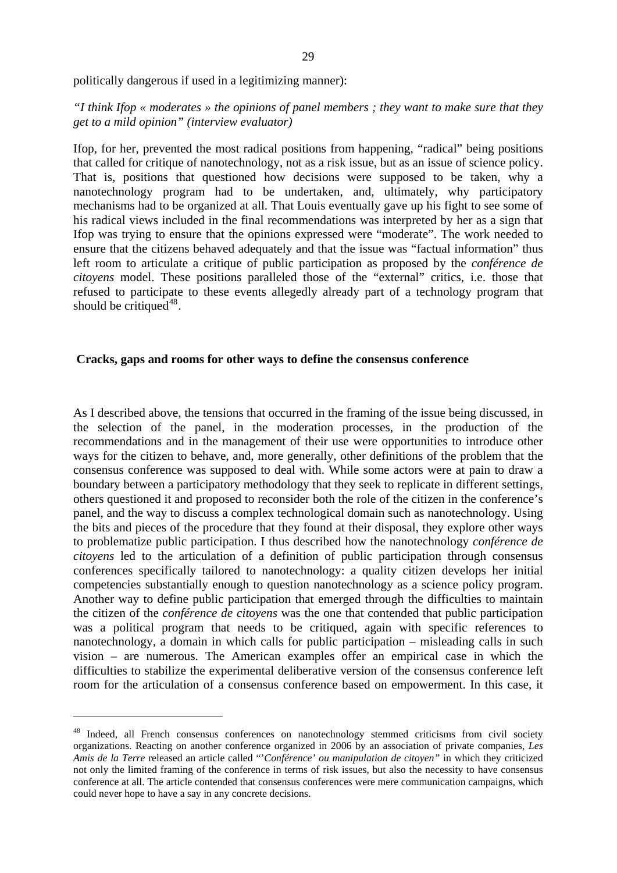politically dangerous if used in a legitimizing manner):

# *"I think Ifop « moderates » the opinions of panel members ; they want to make sure that they get to a mild opinion" (interview evaluator)*

Ifop, for her, prevented the most radical positions from happening, "radical" being positions that called for critique of nanotechnology, not as a risk issue, but as an issue of science policy. That is, positions that questioned how decisions were supposed to be taken, why a nanotechnology program had to be undertaken, and, ultimately, why participatory mechanisms had to be organized at all. That Louis eventually gave up his fight to see some of his radical views included in the final recommendations was interpreted by her as a sign that Ifop was trying to ensure that the opinions expressed were "moderate". The work needed to ensure that the citizens behaved adequately and that the issue was "factual information" thus left room to articulate a critique of public participation as proposed by the *conférence de citoyens* model. These positions paralleled those of the "external" critics, i.e. those that refused to participate to these events allegedly already part of a technology program that should be critiqued<sup>[48](#page-31-0)</sup>.

#### **Cracks, gaps and rooms for other ways to define the consensus conference**

As I described above, the tensions that occurred in the framing of the issue being discussed, in the selection of the panel, in the moderation processes, in the production of the recommendations and in the management of their use were opportunities to introduce other ways for the citizen to behave, and, more generally, other definitions of the problem that the consensus conference was supposed to deal with. While some actors were at pain to draw a boundary between a participatory methodology that they seek to replicate in different settings, others questioned it and proposed to reconsider both the role of the citizen in the conference's panel, and the way to discuss a complex technological domain such as nanotechnology. Using the bits and pieces of the procedure that they found at their disposal, they explore other ways to problematize public participation. I thus described how the nanotechnology *conférence de citoyens* led to the articulation of a definition of public participation through consensus conferences specifically tailored to nanotechnology: a quality citizen develops her initial competencies substantially enough to question nanotechnology as a science policy program. Another way to define public participation that emerged through the difficulties to maintain the citizen of the *conférence de citoyens* was the one that contended that public participation was a political program that needs to be critiqued, again with specific references to nanotechnology, a domain in which calls for public participation – misleading calls in such vision – are numerous. The American examples offer an empirical case in which the difficulties to stabilize the experimental deliberative version of the consensus conference left room for the articulation of a consensus conference based on empowerment. In this case, it

<span id="page-31-0"></span><sup>&</sup>lt;sup>48</sup> Indeed, all French consensus conferences on nanotechnology stemmed criticisms from civil society organizations. Reacting on another conference organized in 2006 by an association of private companies, *Les Amis de la Terre* released an article called "'*Conférence' ou manipulation de citoyen"* in which they criticized not only the limited framing of the conference in terms of risk issues, but also the necessity to have consensus conference at all. The article contended that consensus conferences were mere communication campaigns, which could never hope to have a say in any concrete decisions.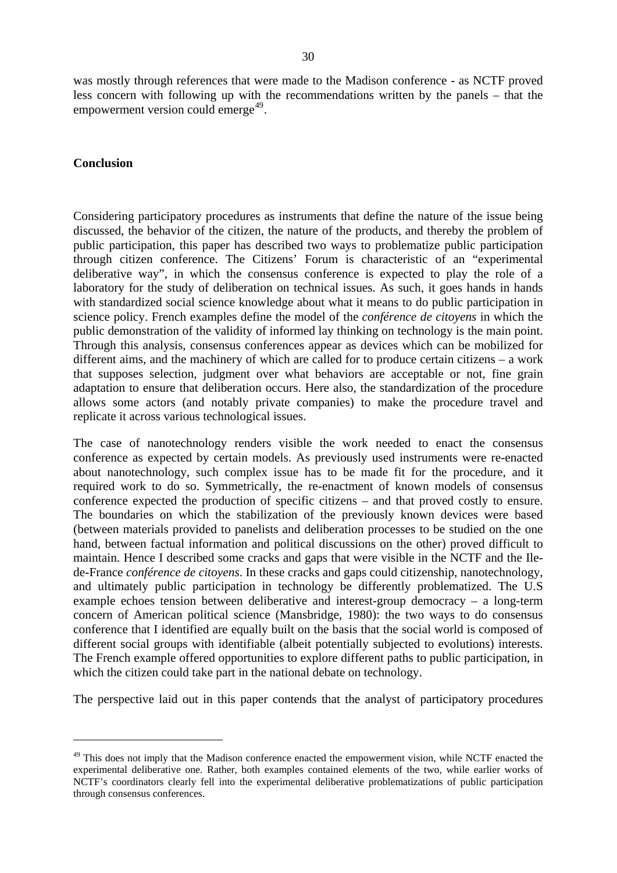was mostly through references that were made to the Madison conference - as NCTF proved less concern with following up with the recommendations written by the panels – that the empowerment version could emerge $49$ .

#### **Conclusion**

<u>.</u>

Considering participatory procedures as instruments that define the nature of the issue being discussed, the behavior of the citizen, the nature of the products, and thereby the problem of public participation, this paper has described two ways to problematize public participation through citizen conference. The Citizens' Forum is characteristic of an "experimental deliberative way", in which the consensus conference is expected to play the role of a laboratory for the study of deliberation on technical issues. As such, it goes hands in hands with standardized social science knowledge about what it means to do public participation in science policy. French examples define the model of the *conférence de citoyens* in which the public demonstration of the validity of informed lay thinking on technology is the main point. Through this analysis, consensus conferences appear as devices which can be mobilized for different aims, and the machinery of which are called for to produce certain citizens – a work that supposes selection, judgment over what behaviors are acceptable or not, fine grain adaptation to ensure that deliberation occurs. Here also, the standardization of the procedure allows some actors (and notably private companies) to make the procedure travel and replicate it across various technological issues.

The case of nanotechnology renders visible the work needed to enact the consensus conference as expected by certain models. As previously used instruments were re-enacted about nanotechnology, such complex issue has to be made fit for the procedure, and it required work to do so. Symmetrically, the re-enactment of known models of consensus conference expected the production of specific citizens – and that proved costly to ensure. The boundaries on which the stabilization of the previously known devices were based (between materials provided to panelists and deliberation processes to be studied on the one hand, between factual information and political discussions on the other) proved difficult to maintain. Hence I described some cracks and gaps that were visible in the NCTF and the Ilede-France *conférence de citoyens*. In these cracks and gaps could citizenship, nanotechnology, and ultimately public participation in technology be differently problematized. The U.S example echoes tension between deliberative and interest-group democracy – a long-term concern of American political science (Mansbridge, 1980): the two ways to do consensus conference that I identified are equally built on the basis that the social world is composed of different social groups with identifiable (albeit potentially subjected to evolutions) interests. The French example offered opportunities to explore different paths to public participation, in which the citizen could take part in the national debate on technology.

The perspective laid out in this paper contends that the analyst of participatory procedures

<span id="page-32-0"></span><sup>&</sup>lt;sup>49</sup> This does not imply that the Madison conference enacted the empowerment vision, while NCTF enacted the experimental deliberative one. Rather, both examples contained elements of the two, while earlier works of NCTF's coordinators clearly fell into the experimental deliberative problematizations of public participation through consensus conferences.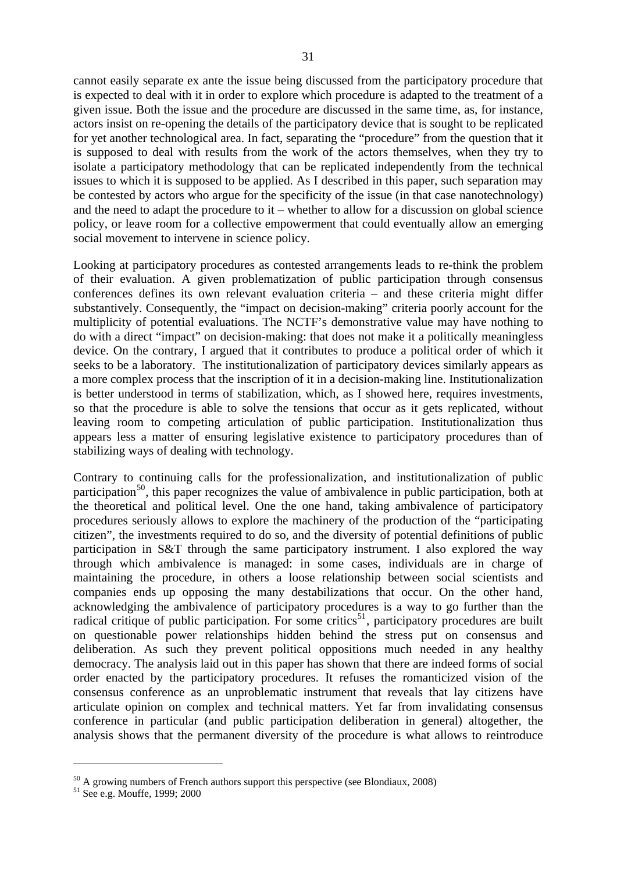cannot easily separate ex ante the issue being discussed from the participatory procedure that is expected to deal with it in order to explore which procedure is adapted to the treatment of a given issue. Both the issue and the procedure are discussed in the same time, as, for instance, actors insist on re-opening the details of the participatory device that is sought to be replicated for yet another technological area. In fact, separating the "procedure" from the question that it is supposed to deal with results from the work of the actors themselves, when they try to isolate a participatory methodology that can be replicated independently from the technical issues to which it is supposed to be applied. As I described in this paper, such separation may be contested by actors who argue for the specificity of the issue (in that case nanotechnology) and the need to adapt the procedure to it – whether to allow for a discussion on global science policy, or leave room for a collective empowerment that could eventually allow an emerging social movement to intervene in science policy.

Looking at participatory procedures as contested arrangements leads to re-think the problem of their evaluation. A given problematization of public participation through consensus conferences defines its own relevant evaluation criteria – and these criteria might differ substantively. Consequently, the "impact on decision-making" criteria poorly account for the multiplicity of potential evaluations. The NCTF's demonstrative value may have nothing to do with a direct "impact" on decision-making: that does not make it a politically meaningless device. On the contrary, I argued that it contributes to produce a political order of which it seeks to be a laboratory. The institutionalization of participatory devices similarly appears as a more complex process that the inscription of it in a decision-making line. Institutionalization is better understood in terms of stabilization, which, as I showed here, requires investments, so that the procedure is able to solve the tensions that occur as it gets replicated, without leaving room to competing articulation of public participation. Institutionalization thus appears less a matter of ensuring legislative existence to participatory procedures than of stabilizing ways of dealing with technology.

Contrary to continuing calls for the professionalization, and institutionalization of public participation<sup>[50](#page-33-0)</sup>, this paper recognizes the value of ambivalence in public participation, both at the theoretical and political level. One the one hand, taking ambivalence of participatory procedures seriously allows to explore the machinery of the production of the "participating citizen", the investments required to do so, and the diversity of potential definitions of public participation in S&T through the same participatory instrument. I also explored the way through which ambivalence is managed: in some cases, individuals are in charge of maintaining the procedure, in others a loose relationship between social scientists and companies ends up opposing the many destabilizations that occur. On the other hand, acknowledging the ambivalence of participatory procedures is a way to go further than the radical critique of public participation. For some critics<sup>[51](#page-33-1)</sup>, participatory procedures are built on questionable power relationships hidden behind the stress put on consensus and deliberation. As such they prevent political oppositions much needed in any healthy democracy. The analysis laid out in this paper has shown that there are indeed forms of social order enacted by the participatory procedures. It refuses the romanticized vision of the consensus conference as an unproblematic instrument that reveals that lay citizens have articulate opinion on complex and technical matters. Yet far from invalidating consensus conference in particular (and public participation deliberation in general) altogether, the analysis shows that the permanent diversity of the procedure is what allows to reintroduce

<span id="page-33-0"></span> $50$  A growing numbers of French authors support this perspective (see Blondiaux, 2008)

<span id="page-33-1"></span> $51$  See e.g. Mouffe, 1999; 2000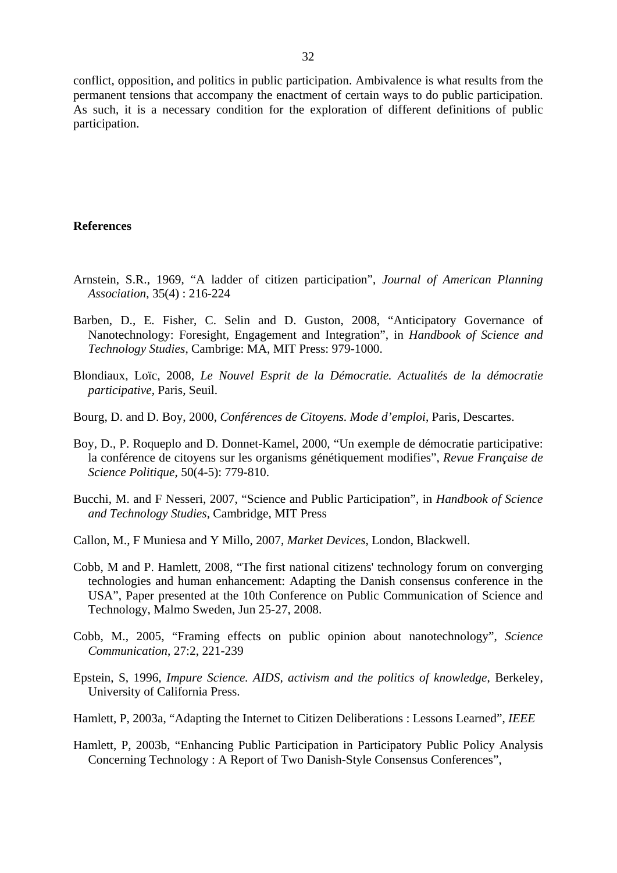conflict, opposition, and politics in public participation. Ambivalence is what results from the permanent tensions that accompany the enactment of certain ways to do public participation. As such, it is a necessary condition for the exploration of different definitions of public participation.

#### **References**

- Arnstein, S.R., 1969, "A ladder of citizen participation", *Journal of American Planning Association*, 35(4) : 216-224
- Barben, D., E. Fisher, C. Selin and D. Guston, 2008, "Anticipatory Governance of Nanotechnology: Foresight, Engagement and Integration", in *Handbook of Science and Technology Studies*, Cambrige: MA, MIT Press: 979-1000.
- Blondiaux, Loïc, 2008, *Le Nouvel Esprit de la Démocratie. Actualités de la démocratie participative*, Paris, Seuil.
- Bourg, D. and D. Boy, 2000, *Conférences de Citoyens. Mode d'emploi*, Paris, Descartes.
- Boy, D., P. Roqueplo and D. Donnet-Kamel, 2000, "Un exemple de démocratie participative: la conférence de citoyens sur les organisms génétiquement modifies", *Revue Française de Science Politique*, 50(4-5): 779-810.
- Bucchi, M. and F Nesseri, 2007, "Science and Public Participation", in *Handbook of Science and Technology Studies*, Cambridge, MIT Press
- Callon, M., F Muniesa and Y Millo, 2007, *Market Devices*, London, Blackwell.
- Cobb, M and P. Hamlett, 2008, "The first national citizens' technology forum on converging technologies and human enhancement: Adapting the Danish consensus conference in the USA", Paper presented at the 10th Conference on Public Communication of Science and Technology, Malmo Sweden, Jun 25-27, 2008.
- Cobb, M., 2005, "Framing effects on public opinion about nanotechnology", *Science Communication*, 27:2, 221-239
- Epstein, S, 1996, *Impure Science. AIDS, activism and the politics of knowledge*, Berkeley, University of California Press.
- Hamlett, P, 2003a, "Adapting the Internet to Citizen Deliberations : Lessons Learned", *IEEE*
- Hamlett, P, 2003b, "Enhancing Public Participation in Participatory Public Policy Analysis Concerning Technology : A Report of Two Danish-Style Consensus Conferences",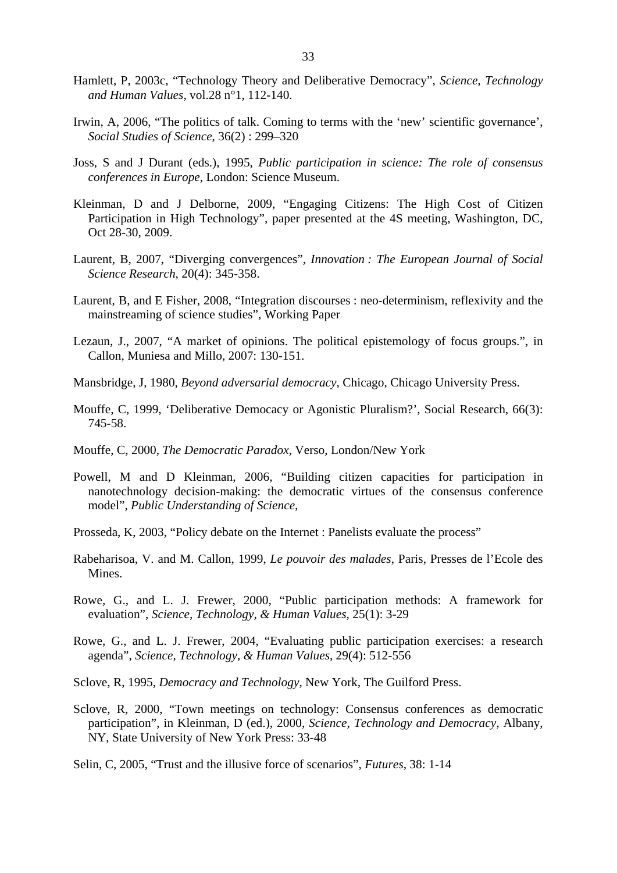- Hamlett, P, 2003c, "Technology Theory and Deliberative Democracy", *Science, Technology and Human Values*, vol.28 n°1, 112-140.
- Irwin, A, 2006, "The politics of talk. Coming to terms with the 'new' scientific governance', *Social Studies of Science*, 36(2) : 299–320
- Joss, S and J Durant (eds.), 1995, *Public participation in science: The role of consensus conferences in Europe*, London: Science Museum.
- Kleinman, D and J Delborne, 2009, "Engaging Citizens: The High Cost of Citizen Participation in High Technology", paper presented at the 4S meeting, Washington, DC, Oct 28-30, 2009.
- Laurent, B, 2007, "Diverging convergences", *Innovation : The European Journal of Social Science Research*, 20(4): 345-358.
- Laurent, B, and E Fisher, 2008, "Integration discourses : neo-determinism, reflexivity and the mainstreaming of science studies", Working Paper
- Lezaun, J., 2007, "A market of opinions. The political epistemology of focus groups.", in Callon, Muniesa and Millo, 2007: 130-151.
- Mansbridge, J, 1980, *Beyond adversarial democracy*, Chicago, Chicago University Press.
- Mouffe, C, 1999, 'Deliberative Democacy or Agonistic Pluralism?', Social Research, 66(3): 745-58.
- Mouffe, C, 2000, *The Democratic Paradox,* Verso, London/New York
- Powell, M and D Kleinman, 2006, "Building citizen capacities for participation in nanotechnology decision-making: the democratic virtues of the consensus conference model", *Public Understanding of Science,*
- Prosseda, K, 2003, "Policy debate on the Internet : Panelists evaluate the process"
- Rabeharisoa, V. and M. Callon, 1999, *Le pouvoir des malades*, Paris, Presses de l'Ecole des Mines.
- Rowe, G., and L. J. Frewer, 2000, "Public participation methods: A framework for evaluation", *Science, Technology, & Human Values*, 25(1): 3-29
- Rowe, G., and L. J. Frewer, 2004, "Evaluating public participation exercises: a research agenda", *Science, Technology, & Human Values*, 29(4): 512-556
- Sclove, R, 1995, *Democracy and Technology*, New York, The Guilford Press.
- Sclove, R, 2000, "Town meetings on technology: Consensus conferences as democratic participation", in Kleinman, D (ed.), 2000, *Science, Technology and Democracy*, Albany, NY, State University of New York Press: 33-48
- Selin, C, 2005, "Trust and the illusive force of scenarios", *Futures*, 38: 1-14